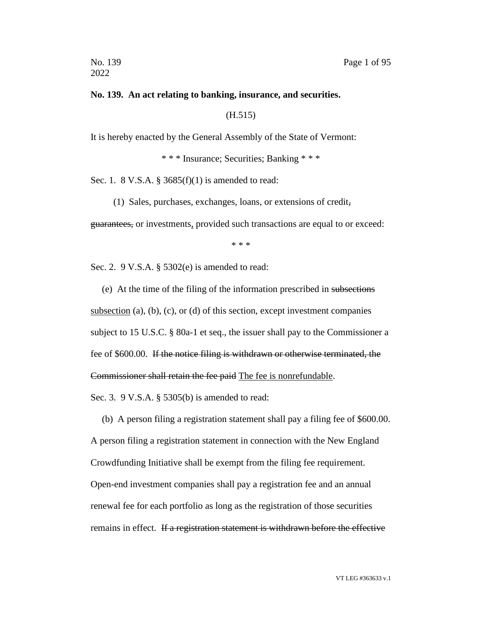#### **No. 139. An act relating to banking, insurance, and securities.**

(H.515)

It is hereby enacted by the General Assembly of the State of Vermont:

\* \* \* Insurance; Securities; Banking \* \* \*

Sec. 1. 8 V.S.A. § 3685(f)(1) is amended to read:

(1) Sales, purchases, exchanges, loans, or extensions of credit,

guarantees, or investments, provided such transactions are equal to or exceed:

\* \* \*

Sec. 2. 9 V.S.A. § 5302(e) is amended to read:

(e) At the time of the filing of the information prescribed in subsections subsection (a), (b), (c), or (d) of this section, except investment companies subject to 15 U.S.C. § 80a-1 et seq., the issuer shall pay to the Commissioner a fee of \$600.00. If the notice filing is withdrawn or otherwise terminated, the Commissioner shall retain the fee paid The fee is nonrefundable.

Sec. 3. 9 V.S.A. § 5305(b) is amended to read:

(b) A person filing a registration statement shall pay a filing fee of \$600.00. A person filing a registration statement in connection with the New England Crowdfunding Initiative shall be exempt from the filing fee requirement. Open-end investment companies shall pay a registration fee and an annual renewal fee for each portfolio as long as the registration of those securities remains in effect. If a registration statement is withdrawn before the effective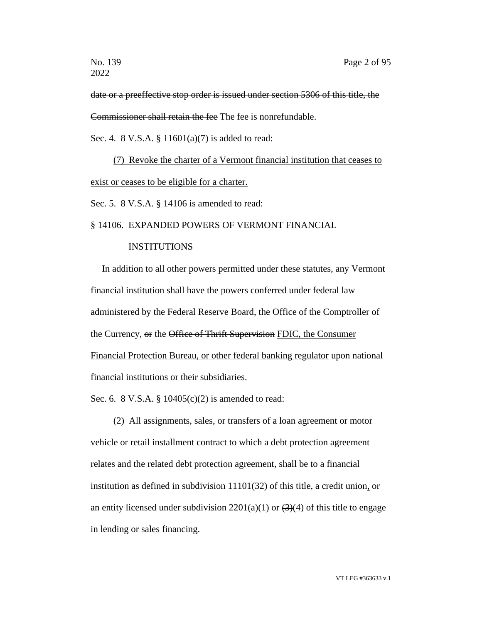date or a preeffective stop order is issued under section 5306 of this title, the Commissioner shall retain the fee The fee is nonrefundable.

Sec. 4. 8 V.S.A. § 11601(a)(7) is added to read:

(7) Revoke the charter of a Vermont financial institution that ceases to exist or ceases to be eligible for a charter.

Sec. 5. 8 V.S.A. § 14106 is amended to read:

# § 14106. EXPANDED POWERS OF VERMONT FINANCIAL

# INSTITUTIONS

In addition to all other powers permitted under these statutes, any Vermont financial institution shall have the powers conferred under federal law administered by the Federal Reserve Board, the Office of the Comptroller of the Currency, or the Office of Thrift Supervision FDIC, the Consumer Financial Protection Bureau, or other federal banking regulator upon national financial institutions or their subsidiaries.

Sec. 6. 8 V.S.A. § 10405(c)(2) is amended to read:

(2) All assignments, sales, or transfers of a loan agreement or motor vehicle or retail installment contract to which a debt protection agreement relates and the related debt protection agreement, shall be to a financial institution as defined in subdivision 11101(32) of this title, a credit union, or an entity licensed under subdivision  $2201(a)(1)$  or  $(3)(4)$  of this title to engage in lending or sales financing.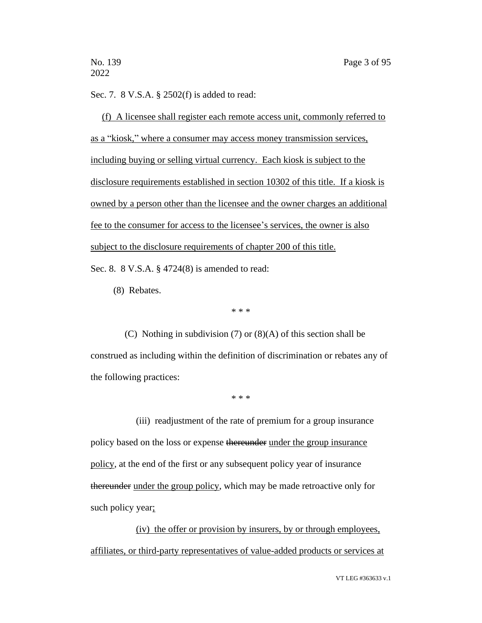Sec. 7. 8 V.S.A. § 2502(f) is added to read:

(f) A licensee shall register each remote access unit, commonly referred to as a "kiosk," where a consumer may access money transmission services, including buying or selling virtual currency. Each kiosk is subject to the disclosure requirements established in section 10302 of this title. If a kiosk is owned by a person other than the licensee and the owner charges an additional fee to the consumer for access to the licensee's services, the owner is also subject to the disclosure requirements of chapter 200 of this title.

Sec. 8. 8 V.S.A. § 4724(8) is amended to read:

(8) Rebates.

\* \* \*

(C) Nothing in subdivision (7) or (8)(A) of this section shall be construed as including within the definition of discrimination or rebates any of the following practices:

\* \* \*

(iii) readjustment of the rate of premium for a group insurance policy based on the loss or expense thereunder under the group insurance policy, at the end of the first or any subsequent policy year of insurance thereunder under the group policy, which may be made retroactive only for such policy year;

(iv) the offer or provision by insurers, by or through employees, affiliates, or third-party representatives of value-added products or services at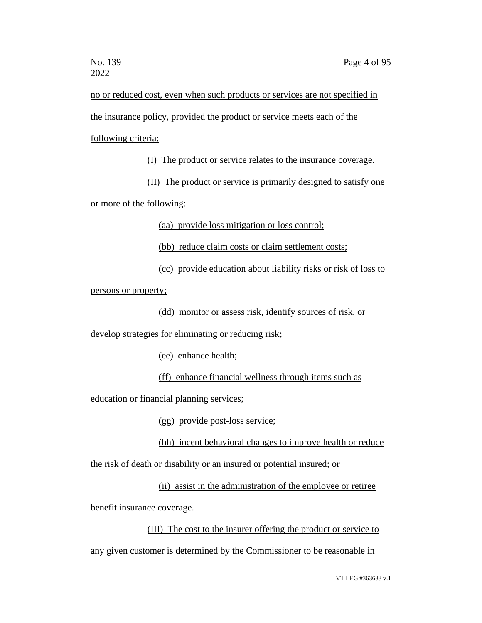no or reduced cost, even when such products or services are not specified in the insurance policy, provided the product or service meets each of the following criteria:

(I) The product or service relates to the insurance coverage.

(II) The product or service is primarily designed to satisfy one or more of the following:

(aa) provide loss mitigation or loss control;

(bb) reduce claim costs or claim settlement costs;

(cc) provide education about liability risks or risk of loss to

persons or property;

(dd) monitor or assess risk, identify sources of risk, or

develop strategies for eliminating or reducing risk;

(ee) enhance health;

(ff) enhance financial wellness through items such as

education or financial planning services;

(gg) provide post-loss service;

(hh) incent behavioral changes to improve health or reduce

the risk of death or disability or an insured or potential insured; or

(ii) assist in the administration of the employee or retiree

benefit insurance coverage.

(III) The cost to the insurer offering the product or service to any given customer is determined by the Commissioner to be reasonable in

VT LEG #363633 v.1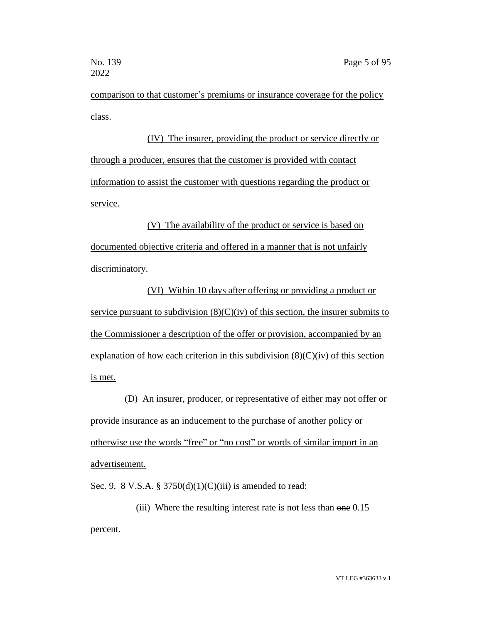comparison to that customer's premiums or insurance coverage for the policy class.

(IV) The insurer, providing the product or service directly or through a producer, ensures that the customer is provided with contact information to assist the customer with questions regarding the product or service.

(V) The availability of the product or service is based on documented objective criteria and offered in a manner that is not unfairly discriminatory.

(VI) Within 10 days after offering or providing a product or service pursuant to subdivision  $(8)(C)(iv)$  of this section, the insurer submits to the Commissioner a description of the offer or provision, accompanied by an explanation of how each criterion in this subdivision  $(8)(C)(iv)$  of this section is met.

(D) An insurer, producer, or representative of either may not offer or provide insurance as an inducement to the purchase of another policy or otherwise use the words "free" or "no cost" or words of similar import in an advertisement.

Sec. 9. 8 V.S.A. § 3750(d)(1)(C)(iii) is amended to read:

(iii) Where the resulting interest rate is not less than one 0.15 percent.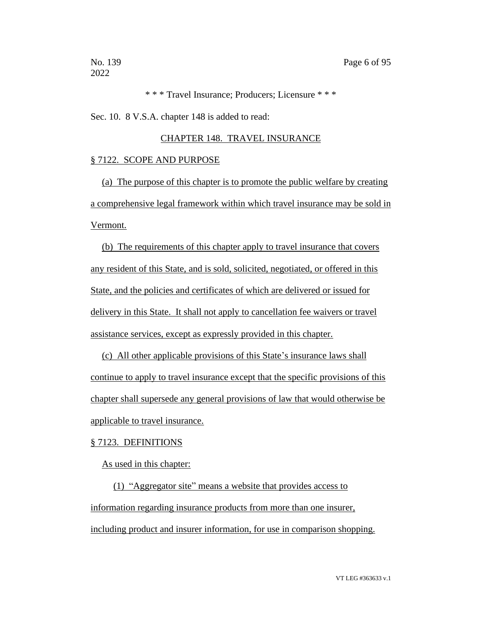\* \* \* Travel Insurance; Producers; Licensure \* \* \*

Sec. 10. 8 V.S.A. chapter 148 is added to read:

#### CHAPTER 148. TRAVEL INSURANCE

#### § 7122. SCOPE AND PURPOSE

(a) The purpose of this chapter is to promote the public welfare by creating a comprehensive legal framework within which travel insurance may be sold in Vermont.

(b) The requirements of this chapter apply to travel insurance that covers any resident of this State, and is sold, solicited, negotiated, or offered in this State, and the policies and certificates of which are delivered or issued for delivery in this State. It shall not apply to cancellation fee waivers or travel assistance services, except as expressly provided in this chapter.

(c) All other applicable provisions of this State's insurance laws shall continue to apply to travel insurance except that the specific provisions of this chapter shall supersede any general provisions of law that would otherwise be applicable to travel insurance.

#### § 7123. DEFINITIONS

As used in this chapter:

(1) "Aggregator site" means a website that provides access to information regarding insurance products from more than one insurer, including product and insurer information, for use in comparison shopping.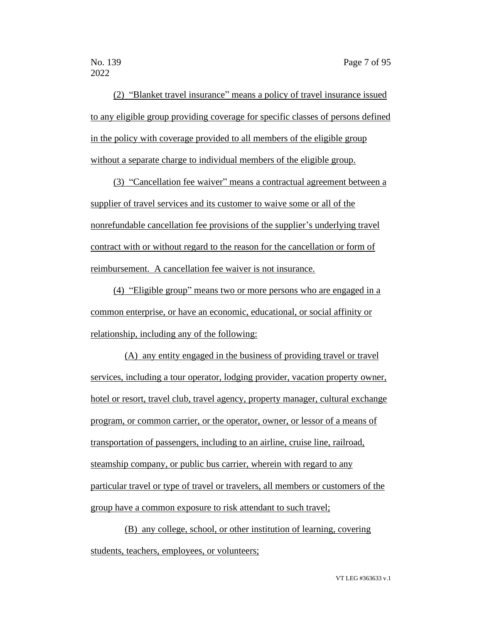(2) "Blanket travel insurance" means a policy of travel insurance issued to any eligible group providing coverage for specific classes of persons defined in the policy with coverage provided to all members of the eligible group without a separate charge to individual members of the eligible group.

(3) "Cancellation fee waiver" means a contractual agreement between a supplier of travel services and its customer to waive some or all of the nonrefundable cancellation fee provisions of the supplier's underlying travel contract with or without regard to the reason for the cancellation or form of reimbursement. A cancellation fee waiver is not insurance.

(4) "Eligible group" means two or more persons who are engaged in a common enterprise, or have an economic, educational, or social affinity or relationship, including any of the following:

(A) any entity engaged in the business of providing travel or travel services, including a tour operator, lodging provider, vacation property owner, hotel or resort, travel club, travel agency, property manager, cultural exchange program, or common carrier, or the operator, owner, or lessor of a means of transportation of passengers, including to an airline, cruise line, railroad, steamship company, or public bus carrier, wherein with regard to any particular travel or type of travel or travelers, all members or customers of the group have a common exposure to risk attendant to such travel;

(B) any college, school, or other institution of learning, covering students, teachers, employees, or volunteers;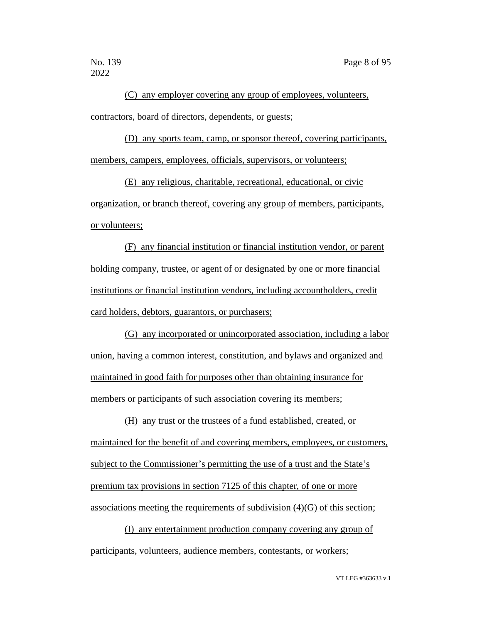(C) any employer covering any group of employees, volunteers, contractors, board of directors, dependents, or guests;

(D) any sports team, camp, or sponsor thereof, covering participants, members, campers, employees, officials, supervisors, or volunteers;

(E) any religious, charitable, recreational, educational, or civic organization, or branch thereof, covering any group of members, participants, or volunteers;

(F) any financial institution or financial institution vendor, or parent holding company, trustee, or agent of or designated by one or more financial institutions or financial institution vendors, including accountholders, credit card holders, debtors, guarantors, or purchasers;

(G) any incorporated or unincorporated association, including a labor union, having a common interest, constitution, and bylaws and organized and maintained in good faith for purposes other than obtaining insurance for members or participants of such association covering its members;

(H) any trust or the trustees of a fund established, created, or maintained for the benefit of and covering members, employees, or customers, subject to the Commissioner's permitting the use of a trust and the State's premium tax provisions in section 7125 of this chapter, of one or more associations meeting the requirements of subdivision (4)(G) of this section;

(I) any entertainment production company covering any group of participants, volunteers, audience members, contestants, or workers;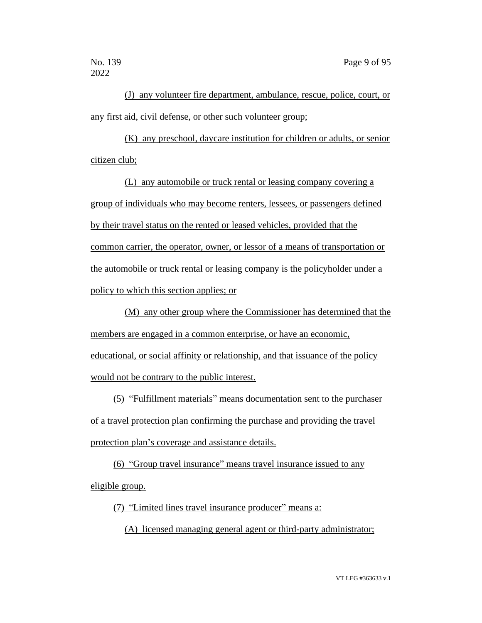(J) any volunteer fire department, ambulance, rescue, police, court, or any first aid, civil defense, or other such volunteer group;

(K) any preschool, daycare institution for children or adults, or senior citizen club;

(L) any automobile or truck rental or leasing company covering a group of individuals who may become renters, lessees, or passengers defined by their travel status on the rented or leased vehicles, provided that the common carrier, the operator, owner, or lessor of a means of transportation or the automobile or truck rental or leasing company is the policyholder under a policy to which this section applies; or

(M) any other group where the Commissioner has determined that the members are engaged in a common enterprise, or have an economic, educational, or social affinity or relationship, and that issuance of the policy would not be contrary to the public interest.

(5) "Fulfillment materials" means documentation sent to the purchaser of a travel protection plan confirming the purchase and providing the travel protection plan's coverage and assistance details.

(6) "Group travel insurance" means travel insurance issued to any eligible group.

(7) "Limited lines travel insurance producer" means a:

(A) licensed managing general agent or third-party administrator;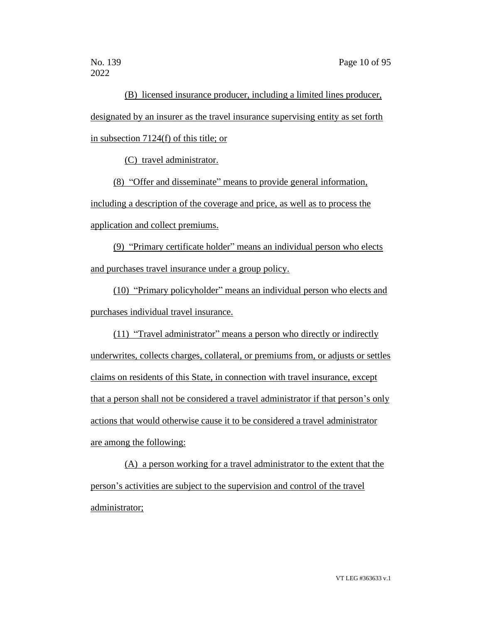(B) licensed insurance producer, including a limited lines producer, designated by an insurer as the travel insurance supervising entity as set forth in subsection 7124(f) of this title; or

(C) travel administrator.

(8) "Offer and disseminate" means to provide general information, including a description of the coverage and price, as well as to process the application and collect premiums.

(9) "Primary certificate holder" means an individual person who elects and purchases travel insurance under a group policy.

(10) "Primary policyholder" means an individual person who elects and purchases individual travel insurance.

(11) "Travel administrator" means a person who directly or indirectly underwrites, collects charges, collateral, or premiums from, or adjusts or settles claims on residents of this State, in connection with travel insurance, except that a person shall not be considered a travel administrator if that person's only actions that would otherwise cause it to be considered a travel administrator are among the following:

(A) a person working for a travel administrator to the extent that the person's activities are subject to the supervision and control of the travel administrator;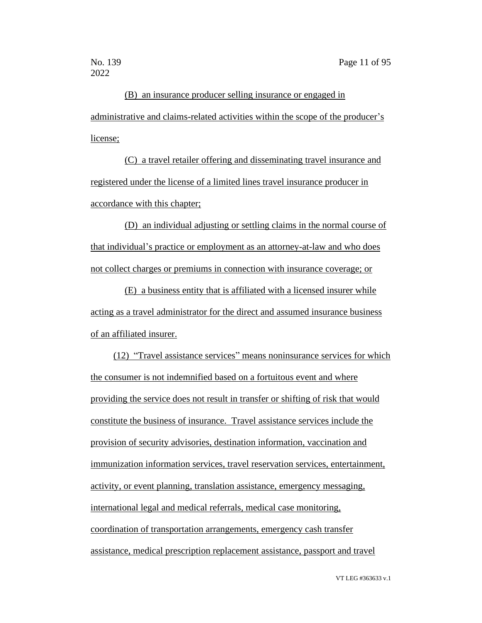(B) an insurance producer selling insurance or engaged in administrative and claims-related activities within the scope of the producer's license;

(C) a travel retailer offering and disseminating travel insurance and registered under the license of a limited lines travel insurance producer in accordance with this chapter;

(D) an individual adjusting or settling claims in the normal course of that individual's practice or employment as an attorney-at-law and who does not collect charges or premiums in connection with insurance coverage; or

(E) a business entity that is affiliated with a licensed insurer while acting as a travel administrator for the direct and assumed insurance business of an affiliated insurer.

(12) "Travel assistance services" means noninsurance services for which the consumer is not indemnified based on a fortuitous event and where providing the service does not result in transfer or shifting of risk that would constitute the business of insurance. Travel assistance services include the provision of security advisories, destination information, vaccination and immunization information services, travel reservation services, entertainment, activity, or event planning, translation assistance, emergency messaging, international legal and medical referrals, medical case monitoring, coordination of transportation arrangements, emergency cash transfer assistance, medical prescription replacement assistance, passport and travel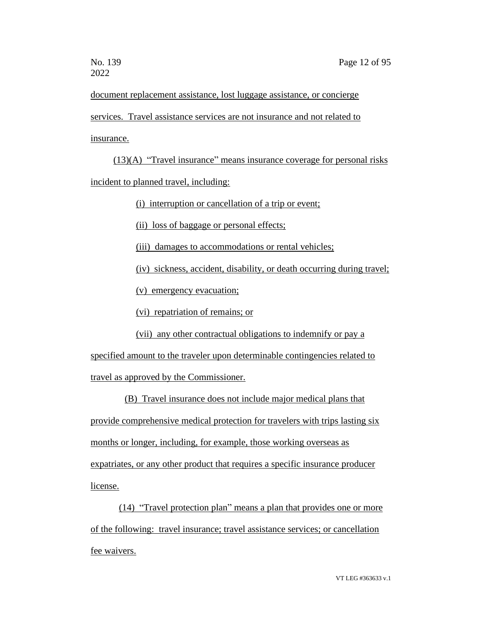document replacement assistance, lost luggage assistance, or concierge services. Travel assistance services are not insurance and not related to insurance.

(13)(A) "Travel insurance" means insurance coverage for personal risks incident to planned travel, including:

(i) interruption or cancellation of a trip or event;

(ii) loss of baggage or personal effects;

(iii) damages to accommodations or rental vehicles;

(iv) sickness, accident, disability, or death occurring during travel;

(v) emergency evacuation;

(vi) repatriation of remains; or

(vii) any other contractual obligations to indemnify or pay a

specified amount to the traveler upon determinable contingencies related to travel as approved by the Commissioner.

(B) Travel insurance does not include major medical plans that provide comprehensive medical protection for travelers with trips lasting six months or longer, including, for example, those working overseas as expatriates, or any other product that requires a specific insurance producer license.

(14) "Travel protection plan" means a plan that provides one or more of the following: travel insurance; travel assistance services; or cancellation fee waivers.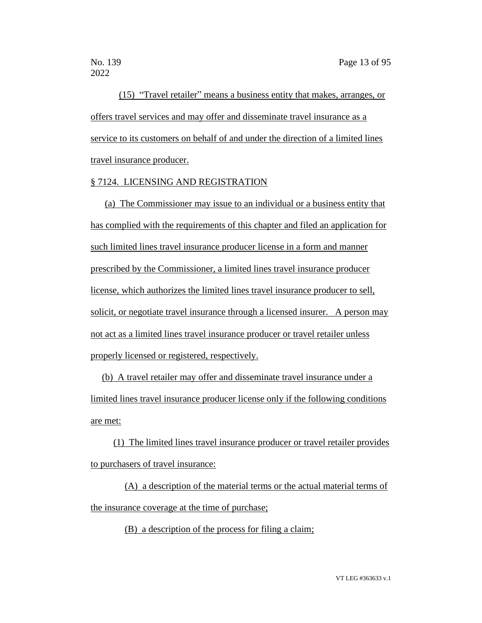(15) "Travel retailer" means a business entity that makes, arranges, or offers travel services and may offer and disseminate travel insurance as a service to its customers on behalf of and under the direction of a limited lines travel insurance producer.

# § 7124. LICENSING AND REGISTRATION

(a) The Commissioner may issue to an individual or a business entity that has complied with the requirements of this chapter and filed an application for such limited lines travel insurance producer license in a form and manner prescribed by the Commissioner, a limited lines travel insurance producer license, which authorizes the limited lines travel insurance producer to sell, solicit, or negotiate travel insurance through a licensed insurer. A person may not act as a limited lines travel insurance producer or travel retailer unless properly licensed or registered, respectively.

(b) A travel retailer may offer and disseminate travel insurance under a limited lines travel insurance producer license only if the following conditions are met:

(1) The limited lines travel insurance producer or travel retailer provides to purchasers of travel insurance:

(A) a description of the material terms or the actual material terms of the insurance coverage at the time of purchase;

(B) a description of the process for filing a claim;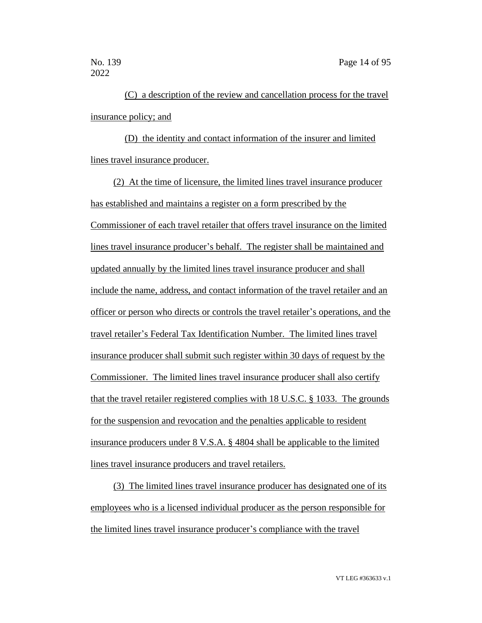(C) a description of the review and cancellation process for the travel insurance policy; and

(D) the identity and contact information of the insurer and limited lines travel insurance producer.

(2) At the time of licensure, the limited lines travel insurance producer has established and maintains a register on a form prescribed by the Commissioner of each travel retailer that offers travel insurance on the limited lines travel insurance producer's behalf. The register shall be maintained and updated annually by the limited lines travel insurance producer and shall include the name, address, and contact information of the travel retailer and an officer or person who directs or controls the travel retailer's operations, and the travel retailer's Federal Tax Identification Number. The limited lines travel insurance producer shall submit such register within 30 days of request by the Commissioner. The limited lines travel insurance producer shall also certify that the travel retailer registered complies with 18 U.S.C. § 1033. The grounds for the suspension and revocation and the penalties applicable to resident insurance producers under 8 V.S.A. § 4804 shall be applicable to the limited lines travel insurance producers and travel retailers.

(3) The limited lines travel insurance producer has designated one of its employees who is a licensed individual producer as the person responsible for the limited lines travel insurance producer's compliance with the travel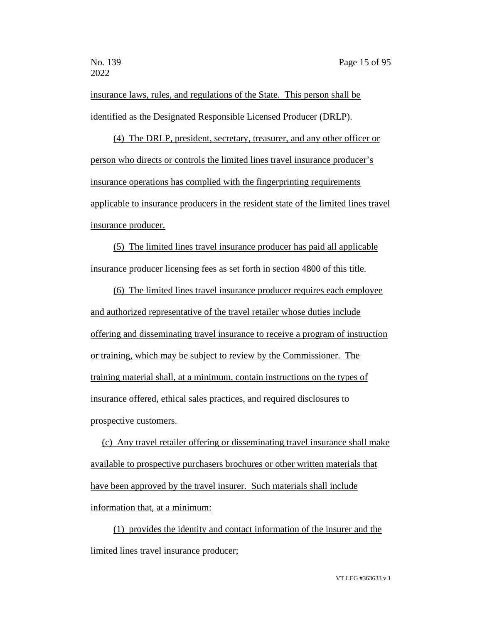insurance laws, rules, and regulations of the State. This person shall be identified as the Designated Responsible Licensed Producer (DRLP).

(4) The DRLP, president, secretary, treasurer, and any other officer or person who directs or controls the limited lines travel insurance producer's insurance operations has complied with the fingerprinting requirements applicable to insurance producers in the resident state of the limited lines travel insurance producer.

(5) The limited lines travel insurance producer has paid all applicable insurance producer licensing fees as set forth in section 4800 of this title.

(6) The limited lines travel insurance producer requires each employee and authorized representative of the travel retailer whose duties include offering and disseminating travel insurance to receive a program of instruction or training, which may be subject to review by the Commissioner. The training material shall, at a minimum, contain instructions on the types of insurance offered, ethical sales practices, and required disclosures to prospective customers.

(c) Any travel retailer offering or disseminating travel insurance shall make available to prospective purchasers brochures or other written materials that have been approved by the travel insurer. Such materials shall include information that, at a minimum:

(1) provides the identity and contact information of the insurer and the limited lines travel insurance producer;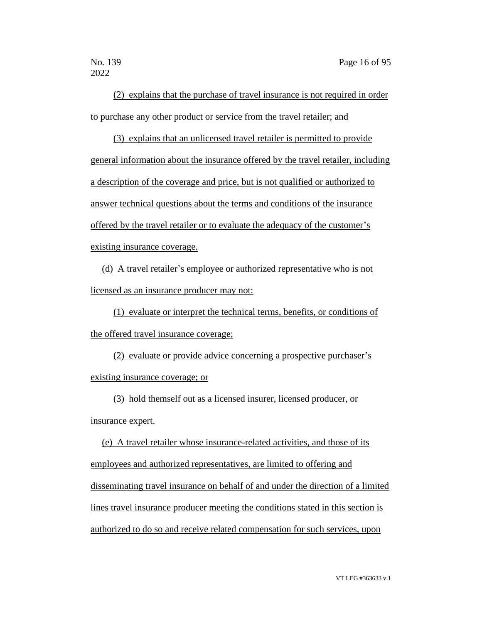(2) explains that the purchase of travel insurance is not required in order to purchase any other product or service from the travel retailer; and

(3) explains that an unlicensed travel retailer is permitted to provide general information about the insurance offered by the travel retailer, including a description of the coverage and price, but is not qualified or authorized to answer technical questions about the terms and conditions of the insurance offered by the travel retailer or to evaluate the adequacy of the customer's existing insurance coverage.

(d) A travel retailer's employee or authorized representative who is not licensed as an insurance producer may not:

(1) evaluate or interpret the technical terms, benefits, or conditions of the offered travel insurance coverage;

(2) evaluate or provide advice concerning a prospective purchaser's existing insurance coverage; or

(3) hold themself out as a licensed insurer, licensed producer, or insurance expert.

(e) A travel retailer whose insurance-related activities, and those of its employees and authorized representatives, are limited to offering and disseminating travel insurance on behalf of and under the direction of a limited lines travel insurance producer meeting the conditions stated in this section is authorized to do so and receive related compensation for such services, upon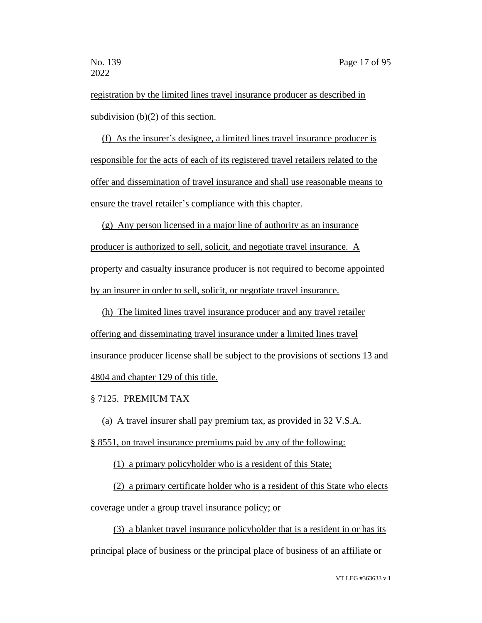registration by the limited lines travel insurance producer as described in subdivision (b)(2) of this section.

(f) As the insurer's designee, a limited lines travel insurance producer is responsible for the acts of each of its registered travel retailers related to the offer and dissemination of travel insurance and shall use reasonable means to ensure the travel retailer's compliance with this chapter.

(g) Any person licensed in a major line of authority as an insurance producer is authorized to sell, solicit, and negotiate travel insurance. A property and casualty insurance producer is not required to become appointed by an insurer in order to sell, solicit, or negotiate travel insurance.

(h) The limited lines travel insurance producer and any travel retailer offering and disseminating travel insurance under a limited lines travel insurance producer license shall be subject to the provisions of sections 13 and 4804 and chapter 129 of this title.

#### § 7125. PREMIUM TAX

(a) A travel insurer shall pay premium tax, as provided in 32 V.S.A.

§ 8551, on travel insurance premiums paid by any of the following:

(1) a primary policyholder who is a resident of this State;

(2) a primary certificate holder who is a resident of this State who elects coverage under a group travel insurance policy; or

(3) a blanket travel insurance policyholder that is a resident in or has its principal place of business or the principal place of business of an affiliate or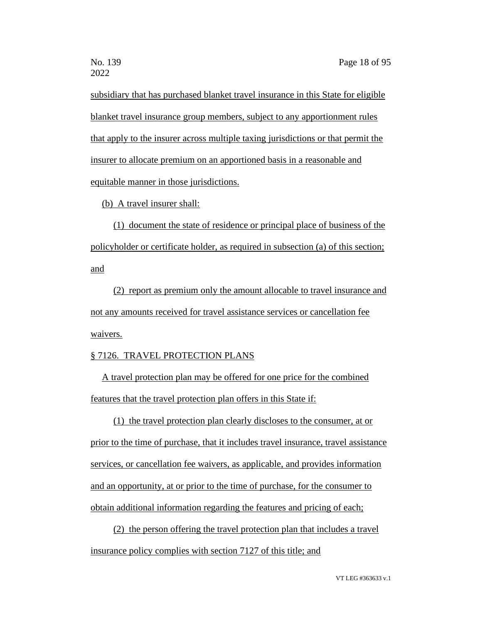subsidiary that has purchased blanket travel insurance in this State for eligible blanket travel insurance group members, subject to any apportionment rules that apply to the insurer across multiple taxing jurisdictions or that permit the insurer to allocate premium on an apportioned basis in a reasonable and equitable manner in those jurisdictions.

(b) A travel insurer shall:

(1) document the state of residence or principal place of business of the policyholder or certificate holder, as required in subsection (a) of this section; and

(2) report as premium only the amount allocable to travel insurance and not any amounts received for travel assistance services or cancellation fee waivers.

#### § 7126. TRAVEL PROTECTION PLANS

A travel protection plan may be offered for one price for the combined features that the travel protection plan offers in this State if:

(1) the travel protection plan clearly discloses to the consumer, at or prior to the time of purchase, that it includes travel insurance, travel assistance services, or cancellation fee waivers, as applicable, and provides information and an opportunity, at or prior to the time of purchase, for the consumer to obtain additional information regarding the features and pricing of each;

(2) the person offering the travel protection plan that includes a travel insurance policy complies with section 7127 of this title; and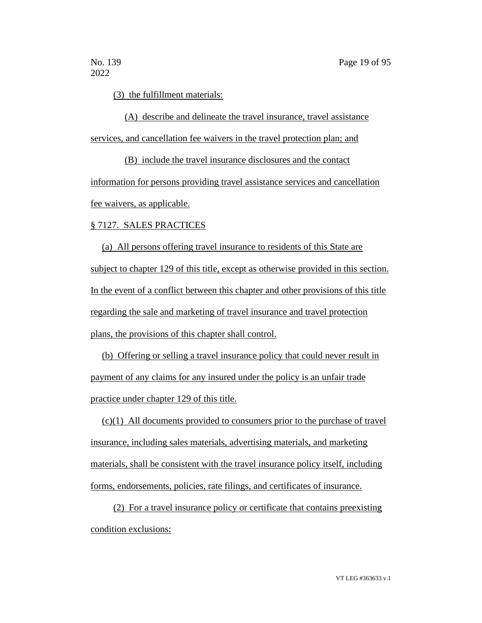(3) the fulfillment materials:

(A) describe and delineate the travel insurance, travel assistance services, and cancellation fee waivers in the travel protection plan; and

(B) include the travel insurance disclosures and the contact information for persons providing travel assistance services and cancellation fee waivers, as applicable.

# § 7127. SALES PRACTICES

(a) All persons offering travel insurance to residents of this State are subject to chapter 129 of this title, except as otherwise provided in this section. In the event of a conflict between this chapter and other provisions of this title regarding the sale and marketing of travel insurance and travel protection plans, the provisions of this chapter shall control.

(b) Offering or selling a travel insurance policy that could never result in payment of any claims for any insured under the policy is an unfair trade practice under chapter 129 of this title.

(c)(1) All documents provided to consumers prior to the purchase of travel insurance, including sales materials, advertising materials, and marketing materials, shall be consistent with the travel insurance policy itself, including forms, endorsements, policies, rate filings, and certificates of insurance.

(2) For a travel insurance policy or certificate that contains preexisting condition exclusions: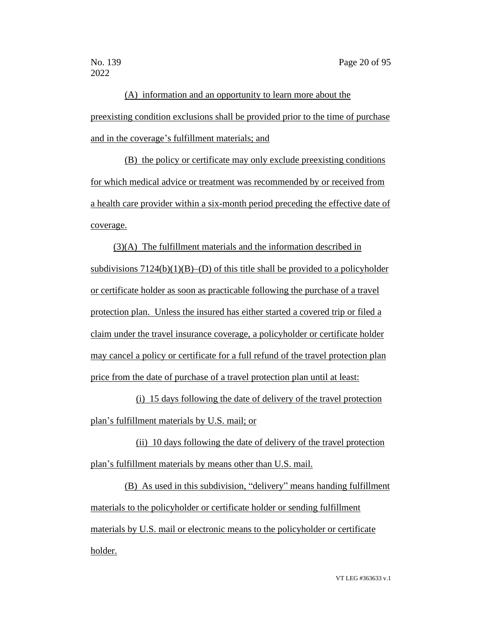(A) information and an opportunity to learn more about the preexisting condition exclusions shall be provided prior to the time of purchase and in the coverage's fulfillment materials; and

(B) the policy or certificate may only exclude preexisting conditions for which medical advice or treatment was recommended by or received from a health care provider within a six-month period preceding the effective date of coverage.

(3)(A) The fulfillment materials and the information described in subdivisions  $7124(b)(1)(B)$ –(D) of this title shall be provided to a policyholder or certificate holder as soon as practicable following the purchase of a travel protection plan. Unless the insured has either started a covered trip or filed a claim under the travel insurance coverage, a policyholder or certificate holder may cancel a policy or certificate for a full refund of the travel protection plan price from the date of purchase of a travel protection plan until at least:

(i) 15 days following the date of delivery of the travel protection plan's fulfillment materials by U.S. mail; or

(ii) 10 days following the date of delivery of the travel protection plan's fulfillment materials by means other than U.S. mail.

(B) As used in this subdivision, "delivery" means handing fulfillment materials to the policyholder or certificate holder or sending fulfillment materials by U.S. mail or electronic means to the policyholder or certificate holder.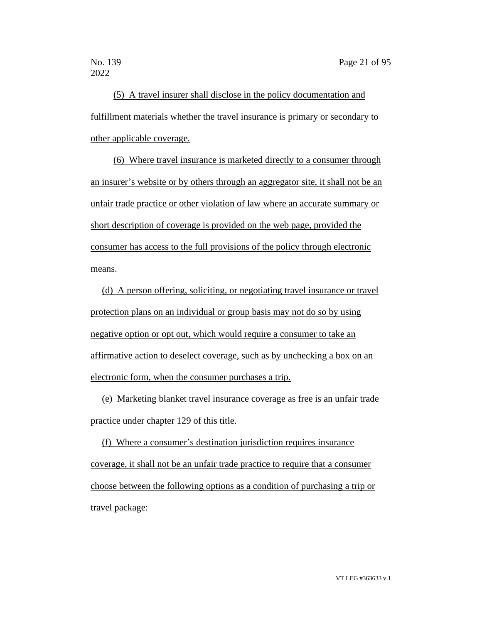(5) A travel insurer shall disclose in the policy documentation and fulfillment materials whether the travel insurance is primary or secondary to other applicable coverage.

(6) Where travel insurance is marketed directly to a consumer through an insurer's website or by others through an aggregator site, it shall not be an unfair trade practice or other violation of law where an accurate summary or short description of coverage is provided on the web page, provided the consumer has access to the full provisions of the policy through electronic means.

(d) A person offering, soliciting, or negotiating travel insurance or travel protection plans on an individual or group basis may not do so by using negative option or opt out, which would require a consumer to take an affirmative action to deselect coverage, such as by unchecking a box on an electronic form, when the consumer purchases a trip.

(e) Marketing blanket travel insurance coverage as free is an unfair trade practice under chapter 129 of this title.

(f) Where a consumer's destination jurisdiction requires insurance coverage, it shall not be an unfair trade practice to require that a consumer choose between the following options as a condition of purchasing a trip or travel package: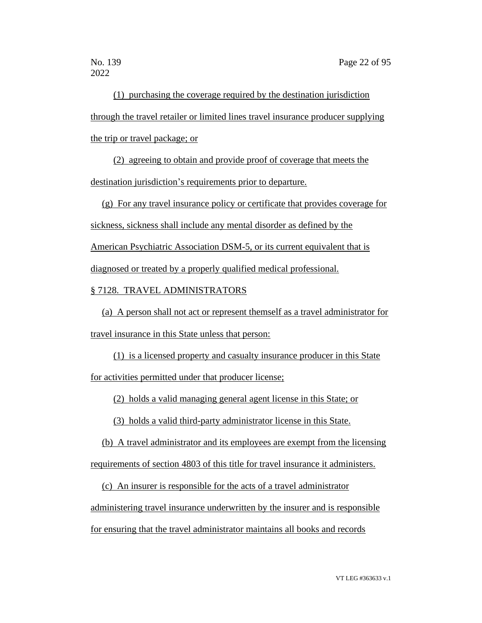(1) purchasing the coverage required by the destination jurisdiction through the travel retailer or limited lines travel insurance producer supplying the trip or travel package; or

(2) agreeing to obtain and provide proof of coverage that meets the destination jurisdiction's requirements prior to departure.

(g) For any travel insurance policy or certificate that provides coverage for

sickness, sickness shall include any mental disorder as defined by the

American Psychiatric Association DSM-5, or its current equivalent that is

diagnosed or treated by a properly qualified medical professional.

§ 7128. TRAVEL ADMINISTRATORS

(a) A person shall not act or represent themself as a travel administrator for travel insurance in this State unless that person:

(1) is a licensed property and casualty insurance producer in this State for activities permitted under that producer license;

(2) holds a valid managing general agent license in this State; or

(3) holds a valid third-party administrator license in this State.

(b) A travel administrator and its employees are exempt from the licensing requirements of section 4803 of this title for travel insurance it administers.

(c) An insurer is responsible for the acts of a travel administrator

administering travel insurance underwritten by the insurer and is responsible

for ensuring that the travel administrator maintains all books and records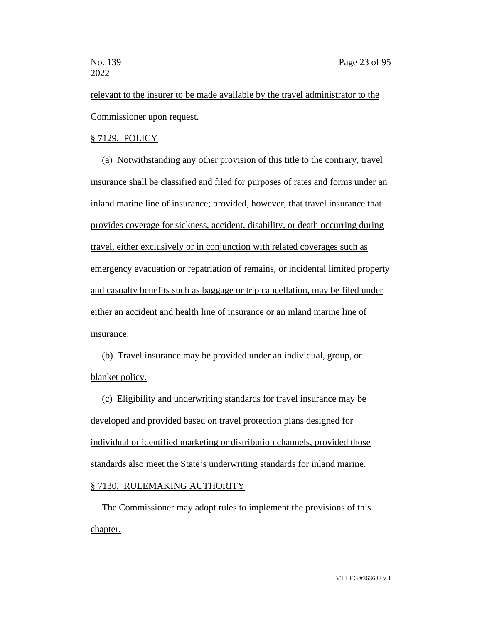relevant to the insurer to be made available by the travel administrator to the Commissioner upon request.

# § 7129. POLICY

(a) Notwithstanding any other provision of this title to the contrary, travel insurance shall be classified and filed for purposes of rates and forms under an inland marine line of insurance; provided, however, that travel insurance that provides coverage for sickness, accident, disability, or death occurring during travel, either exclusively or in conjunction with related coverages such as emergency evacuation or repatriation of remains, or incidental limited property and casualty benefits such as baggage or trip cancellation, may be filed under either an accident and health line of insurance or an inland marine line of insurance.

(b) Travel insurance may be provided under an individual, group, or blanket policy.

(c) Eligibility and underwriting standards for travel insurance may be developed and provided based on travel protection plans designed for individual or identified marketing or distribution channels, provided those standards also meet the State's underwriting standards for inland marine.

# § 7130. RULEMAKING AUTHORITY

The Commissioner may adopt rules to implement the provisions of this chapter.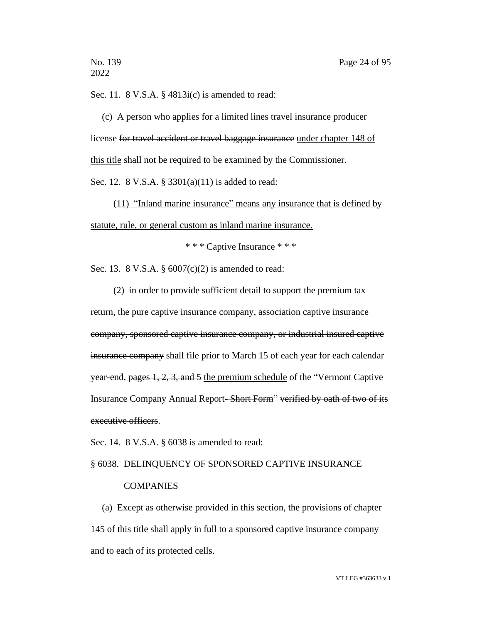Sec. 11. 8 V.S.A. § 4813i(c) is amended to read:

(c) A person who applies for a limited lines travel insurance producer license for travel accident or travel baggage insurance under chapter 148 of this title shall not be required to be examined by the Commissioner. Sec. 12. 8 V.S.A. § 3301(a)(11) is added to read:

(11) "Inland marine insurance" means any insurance that is defined by statute, rule, or general custom as inland marine insurance.

\* \* \* Captive Insurance \* \* \*

Sec. 13. 8 V.S.A. § 6007(c)(2) is amended to read:

(2) in order to provide sufficient detail to support the premium tax return, the pure captive insurance company, association captive insurance company, sponsored captive insurance company, or industrial insured captive insurance company shall file prior to March 15 of each year for each calendar year-end, pages 1, 2, 3, and 5 the premium schedule of the "Vermont Captive Insurance Company Annual Report- Short Form" verified by oath of two of its executive officers.

Sec. 14. 8 V.S.A. § 6038 is amended to read:

# § 6038. DELINQUENCY OF SPONSORED CAPTIVE INSURANCE

# **COMPANIES**

(a) Except as otherwise provided in this section, the provisions of chapter 145 of this title shall apply in full to a sponsored captive insurance company and to each of its protected cells.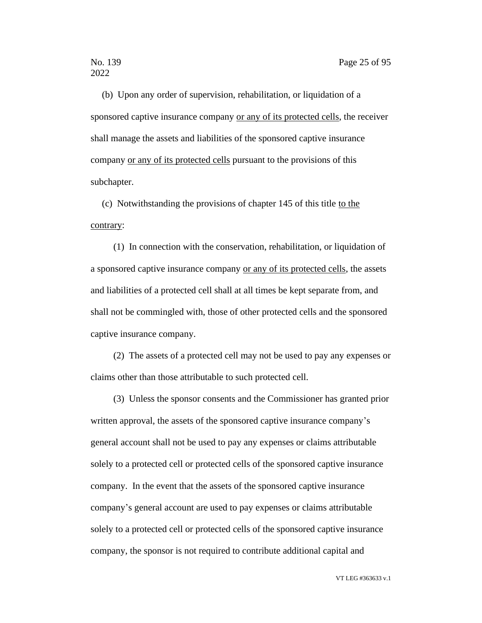(b) Upon any order of supervision, rehabilitation, or liquidation of a sponsored captive insurance company or any of its protected cells, the receiver shall manage the assets and liabilities of the sponsored captive insurance company or any of its protected cells pursuant to the provisions of this subchapter.

(c) Notwithstanding the provisions of chapter 145 of this title to the contrary:

(1) In connection with the conservation, rehabilitation, or liquidation of a sponsored captive insurance company or any of its protected cells, the assets and liabilities of a protected cell shall at all times be kept separate from, and shall not be commingled with, those of other protected cells and the sponsored captive insurance company.

(2) The assets of a protected cell may not be used to pay any expenses or claims other than those attributable to such protected cell.

(3) Unless the sponsor consents and the Commissioner has granted prior written approval, the assets of the sponsored captive insurance company's general account shall not be used to pay any expenses or claims attributable solely to a protected cell or protected cells of the sponsored captive insurance company. In the event that the assets of the sponsored captive insurance company's general account are used to pay expenses or claims attributable solely to a protected cell or protected cells of the sponsored captive insurance company, the sponsor is not required to contribute additional capital and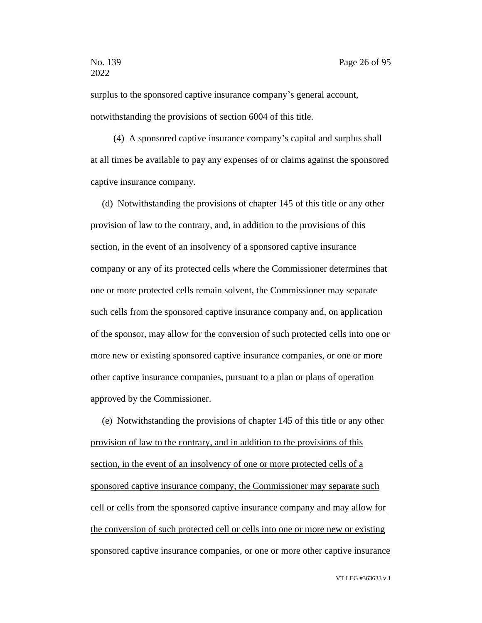surplus to the sponsored captive insurance company's general account, notwithstanding the provisions of section 6004 of this title.

(4) A sponsored captive insurance company's capital and surplus shall at all times be available to pay any expenses of or claims against the sponsored captive insurance company.

(d) Notwithstanding the provisions of chapter 145 of this title or any other provision of law to the contrary, and, in addition to the provisions of this section, in the event of an insolvency of a sponsored captive insurance company or any of its protected cells where the Commissioner determines that one or more protected cells remain solvent, the Commissioner may separate such cells from the sponsored captive insurance company and, on application of the sponsor, may allow for the conversion of such protected cells into one or more new or existing sponsored captive insurance companies, or one or more other captive insurance companies, pursuant to a plan or plans of operation approved by the Commissioner.

(e) Notwithstanding the provisions of chapter 145 of this title or any other provision of law to the contrary, and in addition to the provisions of this section, in the event of an insolvency of one or more protected cells of a sponsored captive insurance company, the Commissioner may separate such cell or cells from the sponsored captive insurance company and may allow for the conversion of such protected cell or cells into one or more new or existing sponsored captive insurance companies, or one or more other captive insurance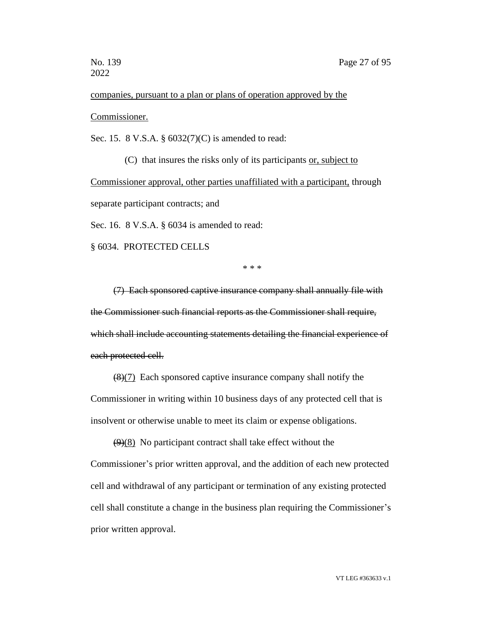# companies, pursuant to a plan or plans of operation approved by the Commissioner.

Sec. 15. 8 V.S.A. § 6032(7)(C) is amended to read:

(C) that insures the risks only of its participants or, subject to Commissioner approval, other parties unaffiliated with a participant, through separate participant contracts; and

Sec. 16. 8 V.S.A. § 6034 is amended to read:

§ 6034. PROTECTED CELLS

\* \* \*

(7) Each sponsored captive insurance company shall annually file with the Commissioner such financial reports as the Commissioner shall require, which shall include accounting statements detailing the financial experience of each protected cell.

(8)(7) Each sponsored captive insurance company shall notify the Commissioner in writing within 10 business days of any protected cell that is insolvent or otherwise unable to meet its claim or expense obligations.

 $(9)(8)$  No participant contract shall take effect without the Commissioner's prior written approval, and the addition of each new protected cell and withdrawal of any participant or termination of any existing protected cell shall constitute a change in the business plan requiring the Commissioner's prior written approval.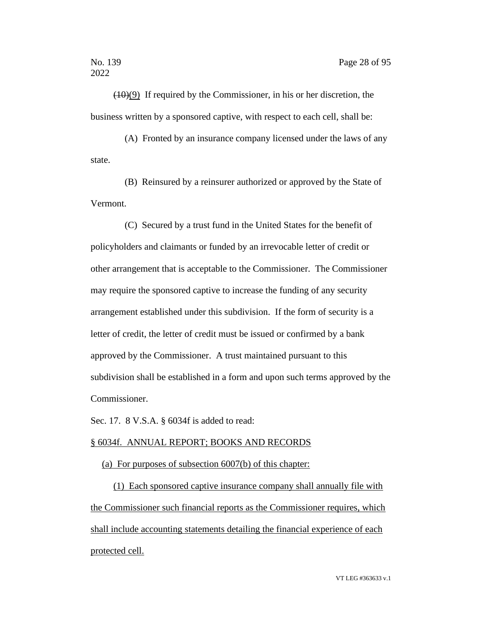$(10)(9)$  If required by the Commissioner, in his or her discretion, the business written by a sponsored captive, with respect to each cell, shall be:

(A) Fronted by an insurance company licensed under the laws of any state.

(B) Reinsured by a reinsurer authorized or approved by the State of Vermont.

(C) Secured by a trust fund in the United States for the benefit of policyholders and claimants or funded by an irrevocable letter of credit or other arrangement that is acceptable to the Commissioner. The Commissioner may require the sponsored captive to increase the funding of any security arrangement established under this subdivision. If the form of security is a letter of credit, the letter of credit must be issued or confirmed by a bank approved by the Commissioner. A trust maintained pursuant to this subdivision shall be established in a form and upon such terms approved by the Commissioner.

Sec. 17. 8 V.S.A. § 6034f is added to read:

#### § 6034f. ANNUAL REPORT; BOOKS AND RECORDS

#### (a) For purposes of subsection 6007(b) of this chapter:

(1) Each sponsored captive insurance company shall annually file with the Commissioner such financial reports as the Commissioner requires, which shall include accounting statements detailing the financial experience of each protected cell.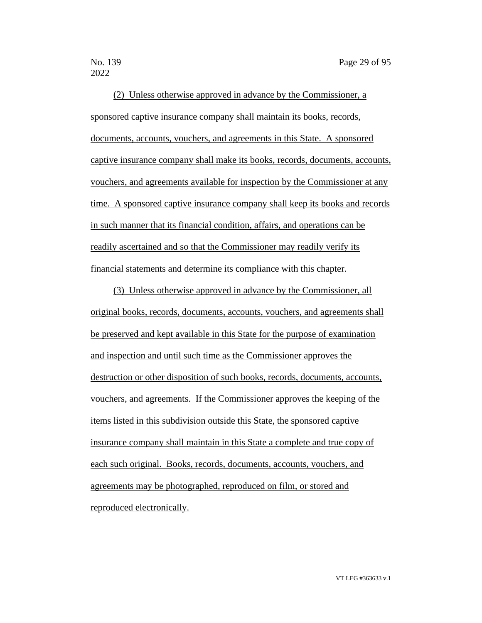(2) Unless otherwise approved in advance by the Commissioner, a sponsored captive insurance company shall maintain its books, records, documents, accounts, vouchers, and agreements in this State. A sponsored captive insurance company shall make its books, records, documents, accounts, vouchers, and agreements available for inspection by the Commissioner at any time. A sponsored captive insurance company shall keep its books and records in such manner that its financial condition, affairs, and operations can be readily ascertained and so that the Commissioner may readily verify its financial statements and determine its compliance with this chapter.

(3) Unless otherwise approved in advance by the Commissioner, all original books, records, documents, accounts, vouchers, and agreements shall be preserved and kept available in this State for the purpose of examination and inspection and until such time as the Commissioner approves the destruction or other disposition of such books, records, documents, accounts, vouchers, and agreements. If the Commissioner approves the keeping of the items listed in this subdivision outside this State, the sponsored captive insurance company shall maintain in this State a complete and true copy of each such original. Books, records, documents, accounts, vouchers, and agreements may be photographed, reproduced on film, or stored and reproduced electronically.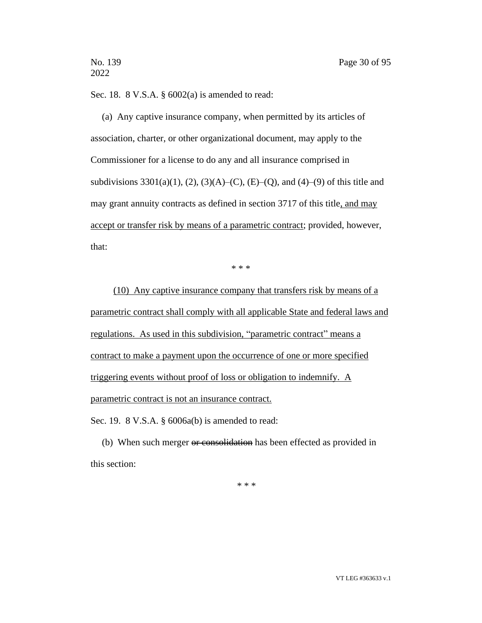Sec. 18. 8 V.S.A. § 6002(a) is amended to read:

(a) Any captive insurance company, when permitted by its articles of association, charter, or other organizational document, may apply to the Commissioner for a license to do any and all insurance comprised in subdivisions  $3301(a)(1)$ ,  $(2)$ ,  $(3)(A)$ – $(C)$ ,  $(E)$ – $(Q)$ , and  $(4)$ – $(9)$  of this title and may grant annuity contracts as defined in section 3717 of this title, and may accept or transfer risk by means of a parametric contract; provided, however, that:

\* \* \*

(10) Any captive insurance company that transfers risk by means of a parametric contract shall comply with all applicable State and federal laws and regulations. As used in this subdivision, "parametric contract" means a contract to make a payment upon the occurrence of one or more specified triggering events without proof of loss or obligation to indemnify. A parametric contract is not an insurance contract.

Sec. 19. 8 V.S.A. § 6006a(b) is amended to read:

(b) When such merger or consolidation has been effected as provided in this section:

\* \* \*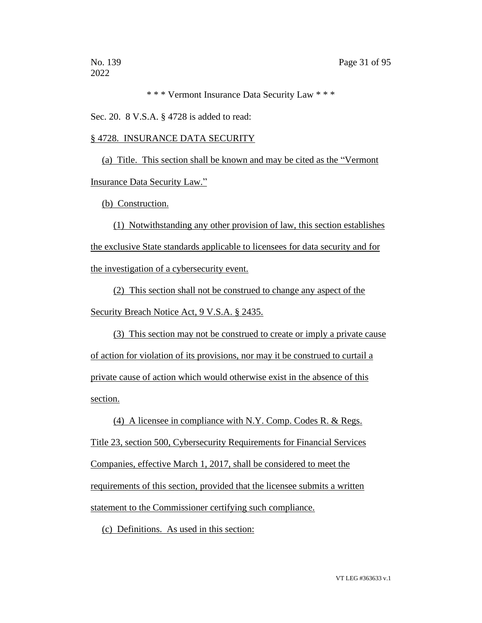\* \* \* Vermont Insurance Data Security Law \* \* \*

Sec. 20. 8 V.S.A. § 4728 is added to read:

# § 4728. INSURANCE DATA SECURITY

(a) Title. This section shall be known and may be cited as the "Vermont Insurance Data Security Law."

(b) Construction.

(1) Notwithstanding any other provision of law, this section establishes the exclusive State standards applicable to licensees for data security and for the investigation of a cybersecurity event.

(2) This section shall not be construed to change any aspect of the Security Breach Notice Act, 9 V.S.A. § 2435.

(3) This section may not be construed to create or imply a private cause of action for violation of its provisions, nor may it be construed to curtail a private cause of action which would otherwise exist in the absence of this section.

(4) A licensee in compliance with N.Y. Comp. Codes R. & Regs. Title 23, section 500, Cybersecurity Requirements for Financial Services Companies, effective March 1, 2017, shall be considered to meet the requirements of this section, provided that the licensee submits a written statement to the Commissioner certifying such compliance.

(c) Definitions. As used in this section: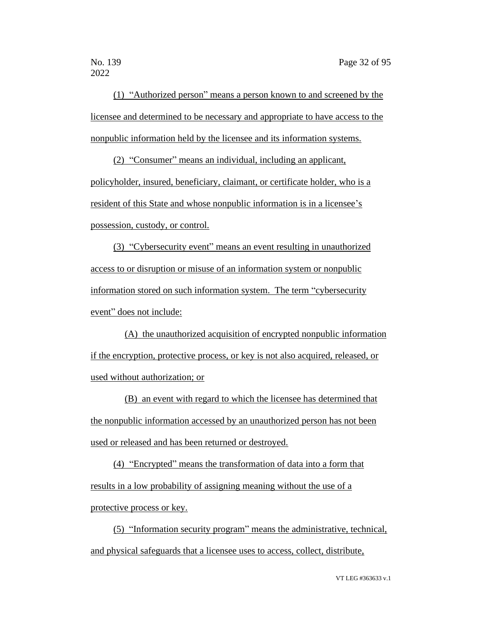(1) "Authorized person" means a person known to and screened by the licensee and determined to be necessary and appropriate to have access to the nonpublic information held by the licensee and its information systems.

(2) "Consumer" means an individual, including an applicant, policyholder, insured, beneficiary, claimant, or certificate holder, who is a resident of this State and whose nonpublic information is in a licensee's possession, custody, or control.

(3) "Cybersecurity event" means an event resulting in unauthorized access to or disruption or misuse of an information system or nonpublic information stored on such information system. The term "cybersecurity event" does not include:

(A) the unauthorized acquisition of encrypted nonpublic information if the encryption, protective process, or key is not also acquired, released, or used without authorization; or

(B) an event with regard to which the licensee has determined that the nonpublic information accessed by an unauthorized person has not been used or released and has been returned or destroyed.

(4) "Encrypted" means the transformation of data into a form that results in a low probability of assigning meaning without the use of a protective process or key.

(5) "Information security program" means the administrative, technical, and physical safeguards that a licensee uses to access, collect, distribute,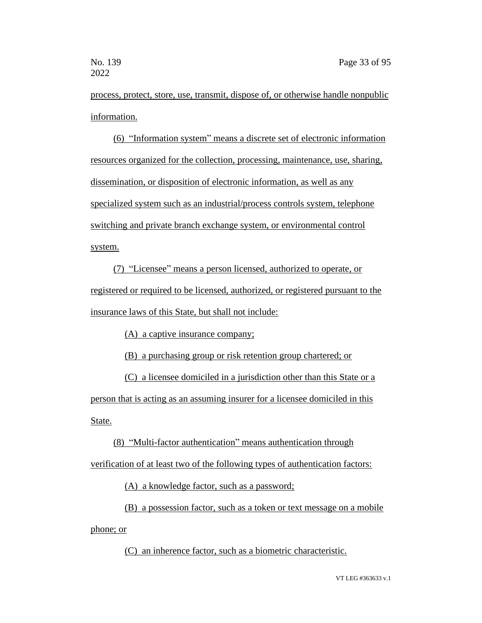process, protect, store, use, transmit, dispose of, or otherwise handle nonpublic information.

(6) "Information system" means a discrete set of electronic information resources organized for the collection, processing, maintenance, use, sharing, dissemination, or disposition of electronic information, as well as any specialized system such as an industrial/process controls system, telephone switching and private branch exchange system, or environmental control system.

(7) "Licensee" means a person licensed, authorized to operate, or registered or required to be licensed, authorized, or registered pursuant to the insurance laws of this State, but shall not include:

(A) a captive insurance company;

(B) a purchasing group or risk retention group chartered; or

(C) a licensee domiciled in a jurisdiction other than this State or a person that is acting as an assuming insurer for a licensee domiciled in this State.

(8) "Multi-factor authentication" means authentication through

verification of at least two of the following types of authentication factors:

(A) a knowledge factor, such as a password;

(B) a possession factor, such as a token or text message on a mobile

phone; or

(C) an inherence factor, such as a biometric characteristic.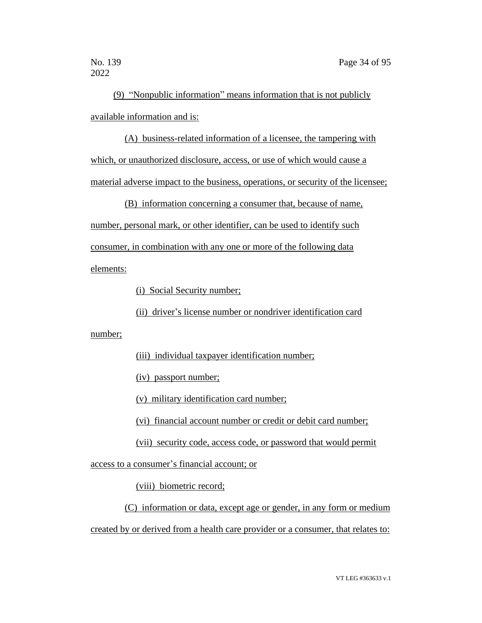(9) "Nonpublic information" means information that is not publicly available information and is:

(A) business-related information of a licensee, the tampering with which, or unauthorized disclosure, access, or use of which would cause a material adverse impact to the business, operations, or security of the licensee;

(B) information concerning a consumer that, because of name,

number, personal mark, or other identifier, can be used to identify such

consumer, in combination with any one or more of the following data

elements:

(i) Social Security number;

(ii) driver's license number or nondriver identification card

number;

(iii) individual taxpayer identification number;

(iv) passport number;

(v) military identification card number;

(vi) financial account number or credit or debit card number;

(vii) security code, access code, or password that would permit

access to a consumer's financial account; or

(viii) biometric record;

(C) information or data, except age or gender, in any form or medium created by or derived from a health care provider or a consumer, that relates to: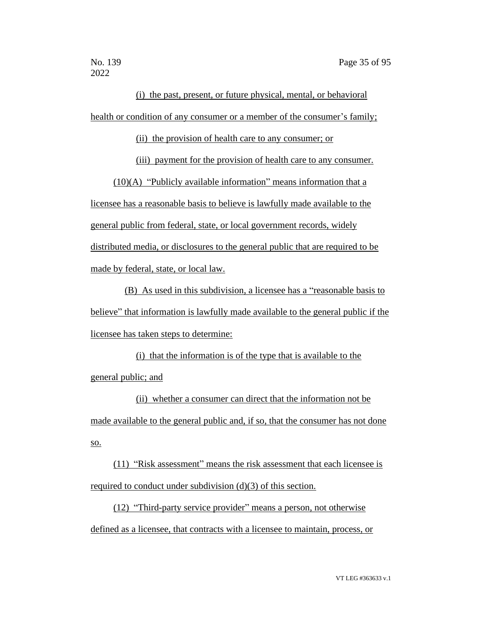(i) the past, present, or future physical, mental, or behavioral health or condition of any consumer or a member of the consumer's family;

(ii) the provision of health care to any consumer; or

(iii) payment for the provision of health care to any consumer.

(10)(A) "Publicly available information" means information that a licensee has a reasonable basis to believe is lawfully made available to the general public from federal, state, or local government records, widely distributed media, or disclosures to the general public that are required to be made by federal, state, or local law.

(B) As used in this subdivision, a licensee has a "reasonable basis to believe" that information is lawfully made available to the general public if the licensee has taken steps to determine:

(i) that the information is of the type that is available to the general public; and

(ii) whether a consumer can direct that the information not be made available to the general public and, if so, that the consumer has not done so.

(11) "Risk assessment" means the risk assessment that each licensee is required to conduct under subdivision (d)(3) of this section.

(12) "Third-party service provider" means a person, not otherwise defined as a licensee, that contracts with a licensee to maintain, process, or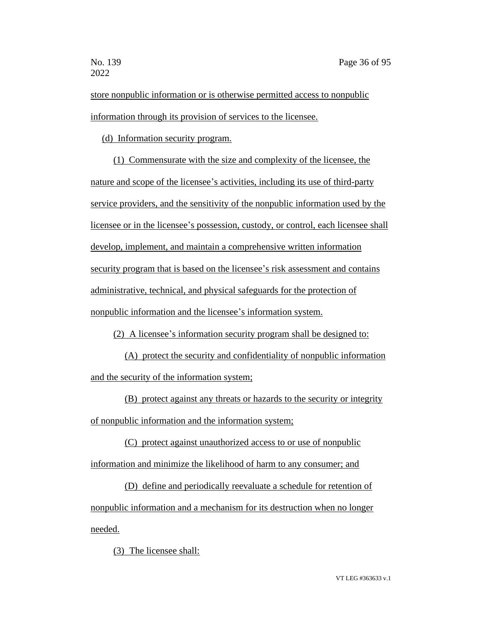store nonpublic information or is otherwise permitted access to nonpublic information through its provision of services to the licensee.

(d) Information security program.

(1) Commensurate with the size and complexity of the licensee, the nature and scope of the licensee's activities, including its use of third-party service providers, and the sensitivity of the nonpublic information used by the licensee or in the licensee's possession, custody, or control, each licensee shall develop, implement, and maintain a comprehensive written information security program that is based on the licensee's risk assessment and contains administrative, technical, and physical safeguards for the protection of nonpublic information and the licensee's information system.

(2) A licensee's information security program shall be designed to:

(A) protect the security and confidentiality of nonpublic information and the security of the information system;

(B) protect against any threats or hazards to the security or integrity of nonpublic information and the information system;

(C) protect against unauthorized access to or use of nonpublic information and minimize the likelihood of harm to any consumer; and

(D) define and periodically reevaluate a schedule for retention of nonpublic information and a mechanism for its destruction when no longer needed.

(3) The licensee shall: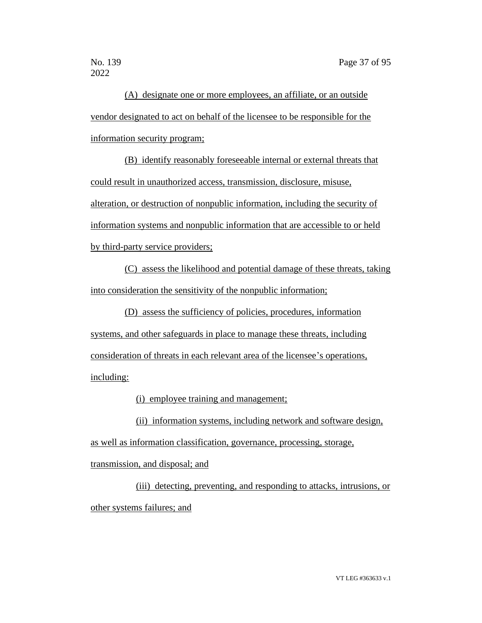(A) designate one or more employees, an affiliate, or an outside vendor designated to act on behalf of the licensee to be responsible for the information security program;

(B) identify reasonably foreseeable internal or external threats that could result in unauthorized access, transmission, disclosure, misuse, alteration, or destruction of nonpublic information, including the security of information systems and nonpublic information that are accessible to or held by third-party service providers;

(C) assess the likelihood and potential damage of these threats, taking into consideration the sensitivity of the nonpublic information;

(D) assess the sufficiency of policies, procedures, information systems, and other safeguards in place to manage these threats, including consideration of threats in each relevant area of the licensee's operations, including:

(i) employee training and management;

(ii) information systems, including network and software design,

as well as information classification, governance, processing, storage,

transmission, and disposal; and

(iii) detecting, preventing, and responding to attacks, intrusions, or other systems failures; and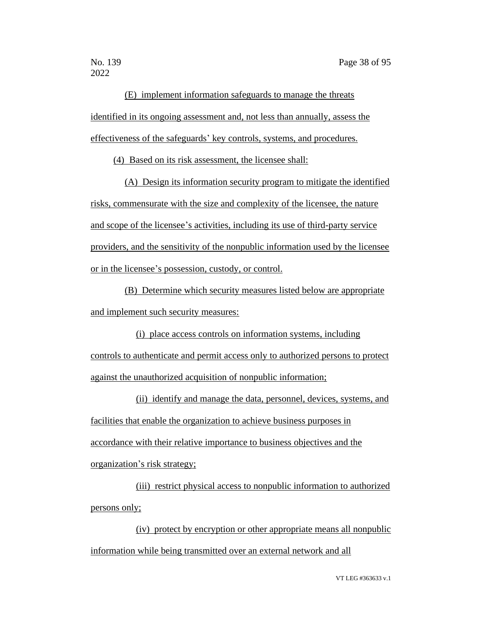(E) implement information safeguards to manage the threats identified in its ongoing assessment and, not less than annually, assess the effectiveness of the safeguards' key controls, systems, and procedures.

(4) Based on its risk assessment, the licensee shall:

(A) Design its information security program to mitigate the identified risks, commensurate with the size and complexity of the licensee, the nature and scope of the licensee's activities, including its use of third-party service providers, and the sensitivity of the nonpublic information used by the licensee or in the licensee's possession, custody, or control.

(B) Determine which security measures listed below are appropriate and implement such security measures:

(i) place access controls on information systems, including controls to authenticate and permit access only to authorized persons to protect against the unauthorized acquisition of nonpublic information;

(ii) identify and manage the data, personnel, devices, systems, and facilities that enable the organization to achieve business purposes in accordance with their relative importance to business objectives and the organization's risk strategy;

(iii) restrict physical access to nonpublic information to authorized persons only;

(iv) protect by encryption or other appropriate means all nonpublic information while being transmitted over an external network and all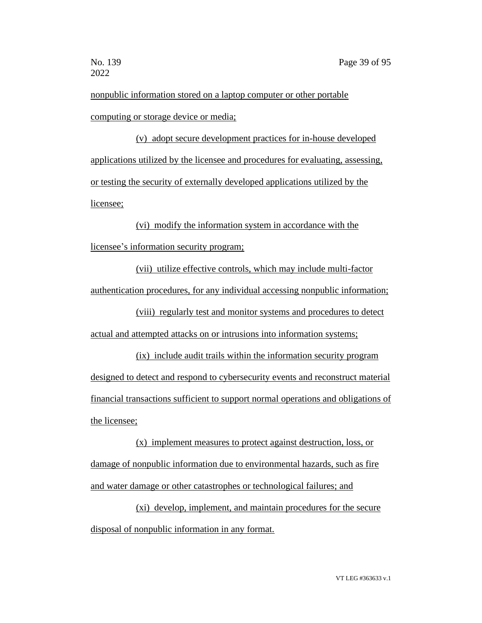nonpublic information stored on a laptop computer or other portable computing or storage device or media;

(v) adopt secure development practices for in-house developed applications utilized by the licensee and procedures for evaluating, assessing, or testing the security of externally developed applications utilized by the licensee;

(vi) modify the information system in accordance with the licensee's information security program;

(vii) utilize effective controls, which may include multi-factor authentication procedures, for any individual accessing nonpublic information;

(viii) regularly test and monitor systems and procedures to detect actual and attempted attacks on or intrusions into information systems;

(ix) include audit trails within the information security program designed to detect and respond to cybersecurity events and reconstruct material financial transactions sufficient to support normal operations and obligations of the licensee;

(x) implement measures to protect against destruction, loss, or damage of nonpublic information due to environmental hazards, such as fire and water damage or other catastrophes or technological failures; and

(xi) develop, implement, and maintain procedures for the secure disposal of nonpublic information in any format.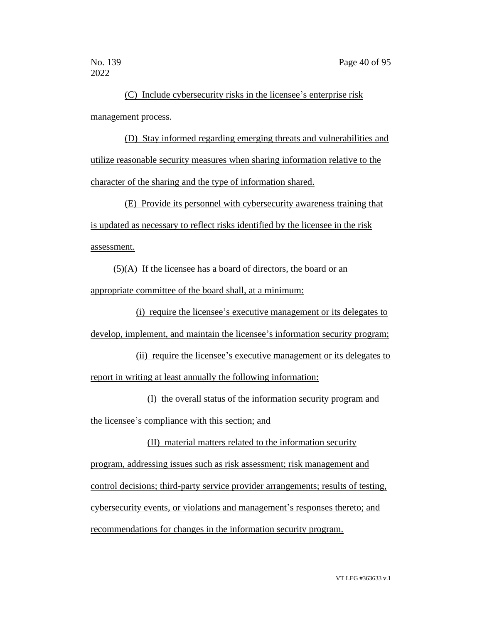(C) Include cybersecurity risks in the licensee's enterprise risk management process.

(D) Stay informed regarding emerging threats and vulnerabilities and utilize reasonable security measures when sharing information relative to the character of the sharing and the type of information shared.

(E) Provide its personnel with cybersecurity awareness training that is updated as necessary to reflect risks identified by the licensee in the risk assessment.

 $(5)(A)$  If the licensee has a board of directors, the board or an appropriate committee of the board shall, at a minimum:

(i) require the licensee's executive management or its delegates to develop, implement, and maintain the licensee's information security program;

(ii) require the licensee's executive management or its delegates to report in writing at least annually the following information:

(I) the overall status of the information security program and the licensee's compliance with this section; and

(II) material matters related to the information security program, addressing issues such as risk assessment; risk management and control decisions; third-party service provider arrangements; results of testing, cybersecurity events, or violations and management's responses thereto; and recommendations for changes in the information security program.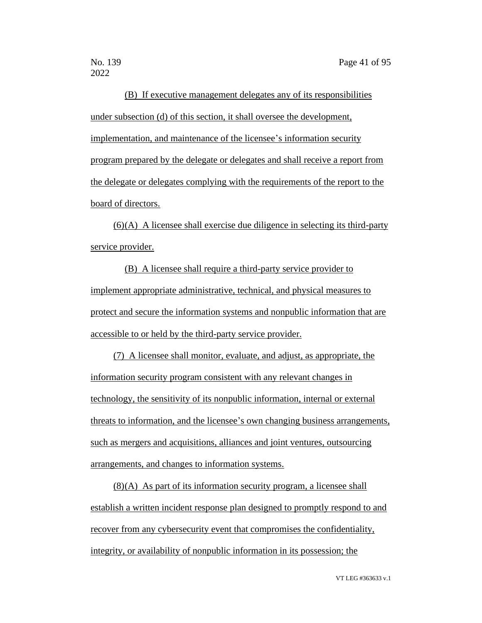(B) If executive management delegates any of its responsibilities under subsection (d) of this section, it shall oversee the development, implementation, and maintenance of the licensee's information security program prepared by the delegate or delegates and shall receive a report from the delegate or delegates complying with the requirements of the report to the board of directors.

(6)(A) A licensee shall exercise due diligence in selecting its third-party service provider.

(B) A licensee shall require a third-party service provider to implement appropriate administrative, technical, and physical measures to protect and secure the information systems and nonpublic information that are accessible to or held by the third-party service provider.

(7) A licensee shall monitor, evaluate, and adjust, as appropriate, the information security program consistent with any relevant changes in technology, the sensitivity of its nonpublic information, internal or external threats to information, and the licensee's own changing business arrangements, such as mergers and acquisitions, alliances and joint ventures, outsourcing arrangements, and changes to information systems.

(8)(A) As part of its information security program, a licensee shall establish a written incident response plan designed to promptly respond to and recover from any cybersecurity event that compromises the confidentiality, integrity, or availability of nonpublic information in its possession; the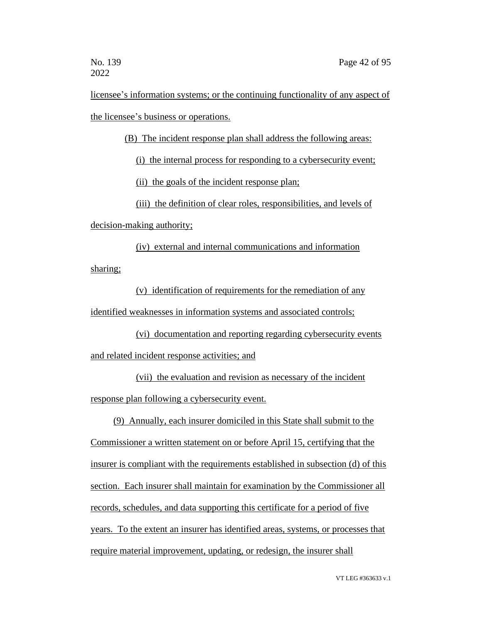licensee's information systems; or the continuing functionality of any aspect of the licensee's business or operations.

(B) The incident response plan shall address the following areas:

(i) the internal process for responding to a cybersecurity event;

(ii) the goals of the incident response plan;

(iii) the definition of clear roles, responsibilities, and levels of

decision-making authority;

(iv) external and internal communications and information sharing;

(v) identification of requirements for the remediation of any identified weaknesses in information systems and associated controls;

(vi) documentation and reporting regarding cybersecurity events and related incident response activities; and

(vii) the evaluation and revision as necessary of the incident response plan following a cybersecurity event.

(9) Annually, each insurer domiciled in this State shall submit to the Commissioner a written statement on or before April 15, certifying that the insurer is compliant with the requirements established in subsection (d) of this section. Each insurer shall maintain for examination by the Commissioner all records, schedules, and data supporting this certificate for a period of five years. To the extent an insurer has identified areas, systems, or processes that require material improvement, updating, or redesign, the insurer shall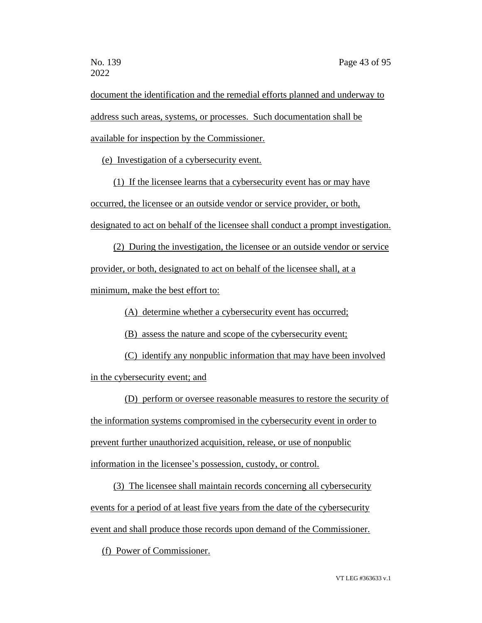document the identification and the remedial efforts planned and underway to address such areas, systems, or processes. Such documentation shall be available for inspection by the Commissioner.

(e) Investigation of a cybersecurity event.

(1) If the licensee learns that a cybersecurity event has or may have occurred, the licensee or an outside vendor or service provider, or both, designated to act on behalf of the licensee shall conduct a prompt investigation.

(2) During the investigation, the licensee or an outside vendor or service

provider, or both, designated to act on behalf of the licensee shall, at a

minimum, make the best effort to:

(A) determine whether a cybersecurity event has occurred;

(B) assess the nature and scope of the cybersecurity event;

(C) identify any nonpublic information that may have been involved in the cybersecurity event; and

(D) perform or oversee reasonable measures to restore the security of the information systems compromised in the cybersecurity event in order to prevent further unauthorized acquisition, release, or use of nonpublic information in the licensee's possession, custody, or control.

(3) The licensee shall maintain records concerning all cybersecurity events for a period of at least five years from the date of the cybersecurity event and shall produce those records upon demand of the Commissioner.

(f) Power of Commissioner.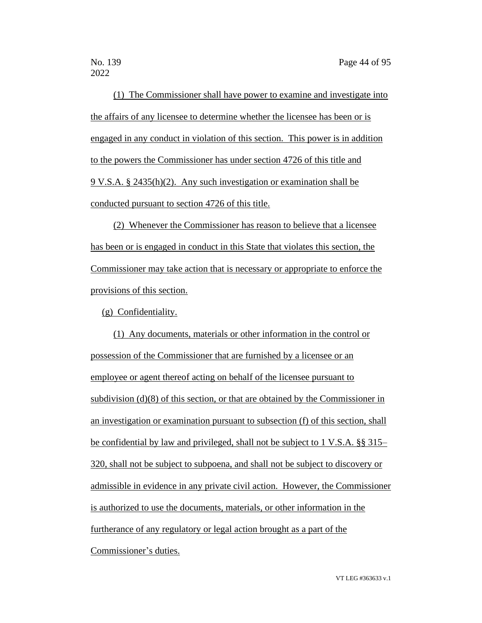(1) The Commissioner shall have power to examine and investigate into the affairs of any licensee to determine whether the licensee has been or is engaged in any conduct in violation of this section. This power is in addition to the powers the Commissioner has under section 4726 of this title and 9 V.S.A. § 2435(h)(2). Any such investigation or examination shall be conducted pursuant to section 4726 of this title.

(2) Whenever the Commissioner has reason to believe that a licensee has been or is engaged in conduct in this State that violates this section, the Commissioner may take action that is necessary or appropriate to enforce the provisions of this section.

(g) Confidentiality.

(1) Any documents, materials or other information in the control or possession of the Commissioner that are furnished by a licensee or an employee or agent thereof acting on behalf of the licensee pursuant to subdivision (d)(8) of this section, or that are obtained by the Commissioner in an investigation or examination pursuant to subsection (f) of this section, shall be confidential by law and privileged, shall not be subject to 1 V.S.A. §§ 315– 320, shall not be subject to subpoena, and shall not be subject to discovery or admissible in evidence in any private civil action. However, the Commissioner is authorized to use the documents, materials, or other information in the furtherance of any regulatory or legal action brought as a part of the Commissioner's duties.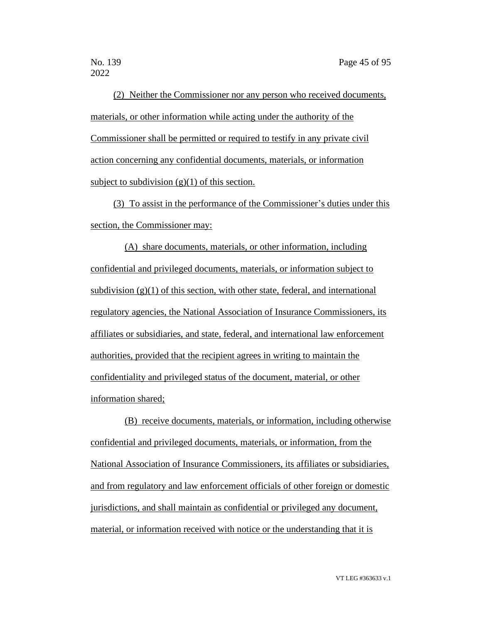(2) Neither the Commissioner nor any person who received documents, materials, or other information while acting under the authority of the Commissioner shall be permitted or required to testify in any private civil action concerning any confidential documents, materials, or information subject to subdivision  $(g)(1)$  of this section.

(3) To assist in the performance of the Commissioner's duties under this section, the Commissioner may:

(A) share documents, materials, or other information, including confidential and privileged documents, materials, or information subject to subdivision  $(g)(1)$  of this section, with other state, federal, and international regulatory agencies, the National Association of Insurance Commissioners, its affiliates or subsidiaries, and state, federal, and international law enforcement authorities, provided that the recipient agrees in writing to maintain the confidentiality and privileged status of the document, material, or other information shared;

(B) receive documents, materials, or information, including otherwise confidential and privileged documents, materials, or information, from the National Association of Insurance Commissioners, its affiliates or subsidiaries, and from regulatory and law enforcement officials of other foreign or domestic jurisdictions, and shall maintain as confidential or privileged any document, material, or information received with notice or the understanding that it is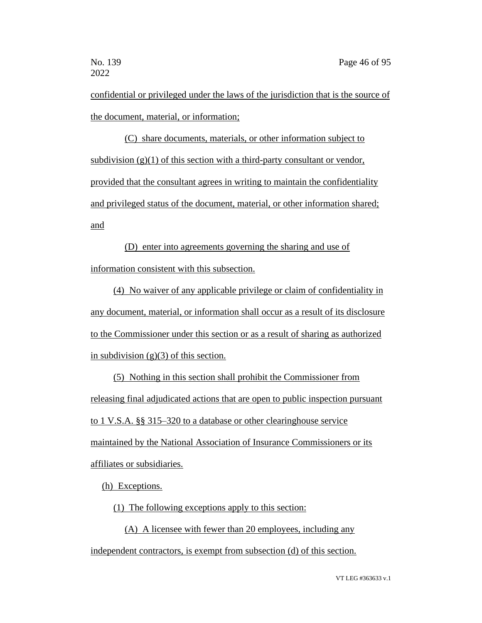confidential or privileged under the laws of the jurisdiction that is the source of the document, material, or information;

(C) share documents, materials, or other information subject to subdivision  $(g)(1)$  of this section with a third-party consultant or vendor, provided that the consultant agrees in writing to maintain the confidentiality and privileged status of the document, material, or other information shared; and

(D) enter into agreements governing the sharing and use of information consistent with this subsection.

(4) No waiver of any applicable privilege or claim of confidentiality in any document, material, or information shall occur as a result of its disclosure to the Commissioner under this section or as a result of sharing as authorized in subdivision  $(g)(3)$  of this section.

(5) Nothing in this section shall prohibit the Commissioner from releasing final adjudicated actions that are open to public inspection pursuant to 1 V.S.A. §§ 315–320 to a database or other clearinghouse service maintained by the National Association of Insurance Commissioners or its affiliates or subsidiaries.

(h) Exceptions.

(1) The following exceptions apply to this section:

(A) A licensee with fewer than 20 employees, including any

independent contractors, is exempt from subsection (d) of this section.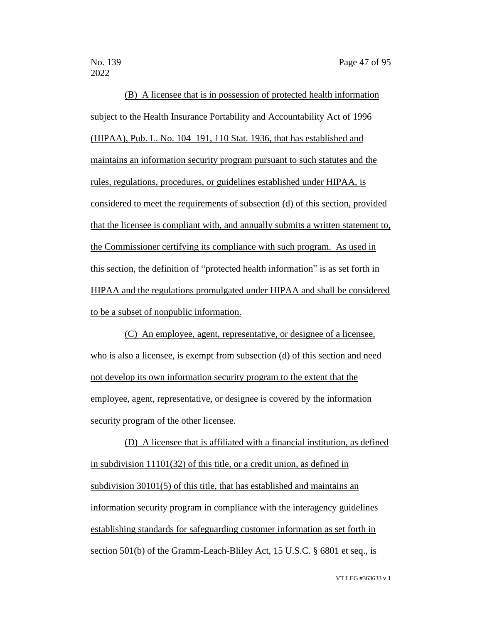(B) A licensee that is in possession of protected health information subject to the Health Insurance Portability and Accountability Act of 1996 (HIPAA), Pub. L. No. 104–191, 110 Stat. 1936, that has established and maintains an information security program pursuant to such statutes and the rules, regulations, procedures, or guidelines established under HIPAA, is considered to meet the requirements of subsection (d) of this section, provided that the licensee is compliant with, and annually submits a written statement to, the Commissioner certifying its compliance with such program. As used in this section, the definition of "protected health information" is as set forth in HIPAA and the regulations promulgated under HIPAA and shall be considered to be a subset of nonpublic information.

(C) An employee, agent, representative, or designee of a licensee, who is also a licensee, is exempt from subsection (d) of this section and need not develop its own information security program to the extent that the employee, agent, representative, or designee is covered by the information security program of the other licensee.

(D) A licensee that is affiliated with a financial institution, as defined in subdivision 11101(32) of this title, or a credit union, as defined in subdivision 30101(5) of this title, that has established and maintains an information security program in compliance with the interagency guidelines establishing standards for safeguarding customer information as set forth in section 501(b) of the Gramm-Leach-Bliley Act, 15 U.S.C. § 6801 et seq., is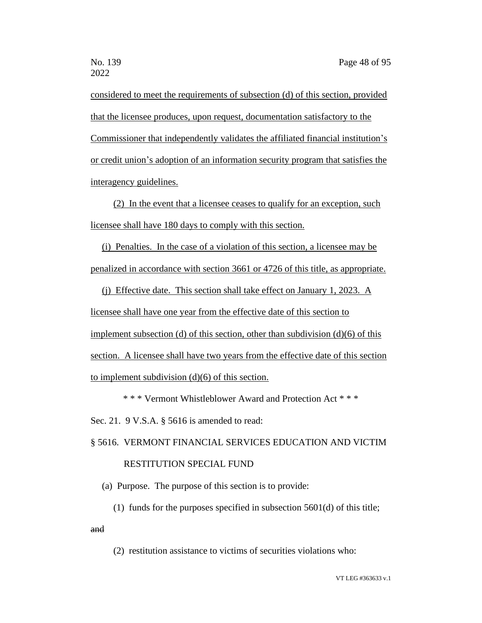considered to meet the requirements of subsection (d) of this section, provided that the licensee produces, upon request, documentation satisfactory to the Commissioner that independently validates the affiliated financial institution's or credit union's adoption of an information security program that satisfies the interagency guidelines.

(2) In the event that a licensee ceases to qualify for an exception, such licensee shall have 180 days to comply with this section.

(i) Penalties. In the case of a violation of this section, a licensee may be penalized in accordance with section 3661 or 4726 of this title, as appropriate.

(j) Effective date. This section shall take effect on January 1, 2023. A licensee shall have one year from the effective date of this section to implement subsection (d) of this section, other than subdivision (d)(6) of this section. A licensee shall have two years from the effective date of this section to implement subdivision (d)(6) of this section.

\* \* \* Vermont Whistleblower Award and Protection Act \* \* \*

Sec. 21. 9 V.S.A. § 5616 is amended to read:

## § 5616. VERMONT FINANCIAL SERVICES EDUCATION AND VICTIM RESTITUTION SPECIAL FUND

(a) Purpose. The purpose of this section is to provide:

(1) funds for the purposes specified in subsection 5601(d) of this title;

and

(2) restitution assistance to victims of securities violations who: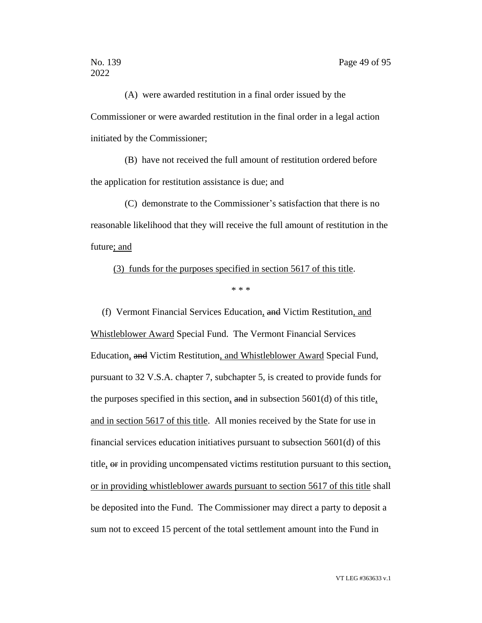(A) were awarded restitution in a final order issued by the Commissioner or were awarded restitution in the final order in a legal action initiated by the Commissioner;

(B) have not received the full amount of restitution ordered before the application for restitution assistance is due; and

(C) demonstrate to the Commissioner's satisfaction that there is no reasonable likelihood that they will receive the full amount of restitution in the future; and

(3) funds for the purposes specified in section 5617 of this title.

\* \* \*

(f) Vermont Financial Services Education, and Victim Restitution, and Whistleblower Award Special Fund. The Vermont Financial Services Education, and Victim Restitution, and Whistleblower Award Special Fund, pursuant to 32 V.S.A. chapter 7, subchapter 5, is created to provide funds for the purposes specified in this section,  $\frac{d}{dt}$  in subsection 5601(d) of this title, and in section 5617 of this title. All monies received by the State for use in financial services education initiatives pursuant to subsection 5601(d) of this title, or in providing uncompensated victims restitution pursuant to this section, or in providing whistleblower awards pursuant to section 5617 of this title shall be deposited into the Fund. The Commissioner may direct a party to deposit a sum not to exceed 15 percent of the total settlement amount into the Fund in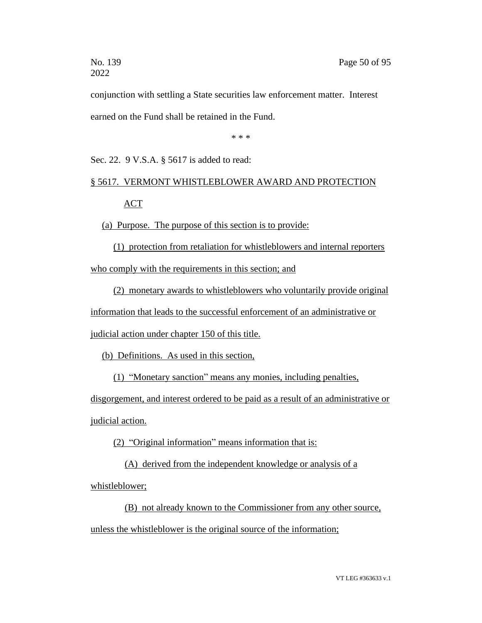conjunction with settling a State securities law enforcement matter. Interest earned on the Fund shall be retained in the Fund.

\* \* \*

Sec. 22. 9 V.S.A. § 5617 is added to read:

## § 5617. VERMONT WHISTLEBLOWER AWARD AND PROTECTION ACT

(a) Purpose. The purpose of this section is to provide:

(1) protection from retaliation for whistleblowers and internal reporters who comply with the requirements in this section; and

(2) monetary awards to whistleblowers who voluntarily provide original

information that leads to the successful enforcement of an administrative or

judicial action under chapter 150 of this title.

(b) Definitions. As used in this section,

(1) "Monetary sanction" means any monies, including penalties,

disgorgement, and interest ordered to be paid as a result of an administrative or judicial action.

(2) "Original information" means information that is:

(A) derived from the independent knowledge or analysis of a

whistleblower;

(B) not already known to the Commissioner from any other source, unless the whistleblower is the original source of the information;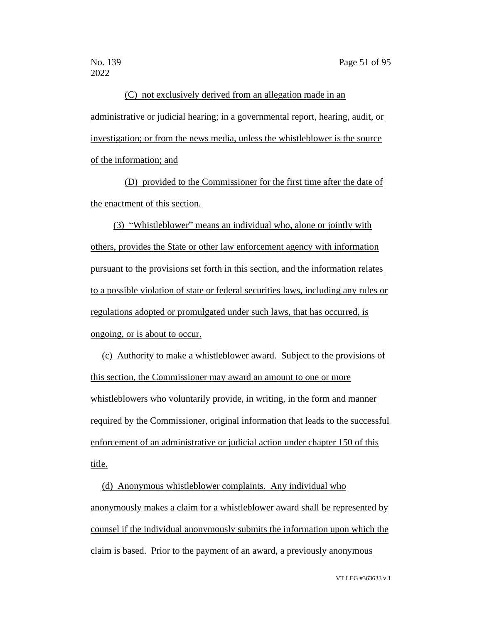(C) not exclusively derived from an allegation made in an administrative or judicial hearing; in a governmental report, hearing, audit, or investigation; or from the news media, unless the whistleblower is the source of the information; and

(D) provided to the Commissioner for the first time after the date of the enactment of this section.

(3) "Whistleblower" means an individual who, alone or jointly with others, provides the State or other law enforcement agency with information pursuant to the provisions set forth in this section, and the information relates to a possible violation of state or federal securities laws, including any rules or regulations adopted or promulgated under such laws, that has occurred, is ongoing, or is about to occur.

(c) Authority to make a whistleblower award. Subject to the provisions of this section, the Commissioner may award an amount to one or more whistleblowers who voluntarily provide, in writing, in the form and manner required by the Commissioner, original information that leads to the successful enforcement of an administrative or judicial action under chapter 150 of this title.

(d) Anonymous whistleblower complaints. Any individual who anonymously makes a claim for a whistleblower award shall be represented by counsel if the individual anonymously submits the information upon which the claim is based. Prior to the payment of an award, a previously anonymous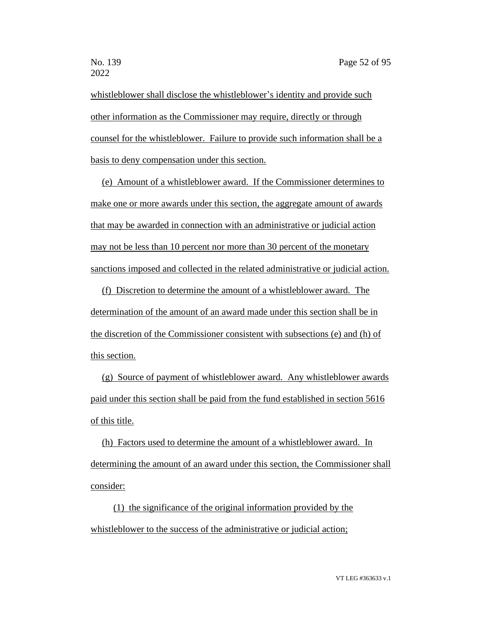whistleblower shall disclose the whistleblower's identity and provide such other information as the Commissioner may require, directly or through counsel for the whistleblower. Failure to provide such information shall be a basis to deny compensation under this section.

(e) Amount of a whistleblower award. If the Commissioner determines to make one or more awards under this section, the aggregate amount of awards that may be awarded in connection with an administrative or judicial action may not be less than 10 percent nor more than 30 percent of the monetary sanctions imposed and collected in the related administrative or judicial action.

(f) Discretion to determine the amount of a whistleblower award. The determination of the amount of an award made under this section shall be in the discretion of the Commissioner consistent with subsections (e) and (h) of this section.

(g) Source of payment of whistleblower award. Any whistleblower awards paid under this section shall be paid from the fund established in section 5616 of this title.

(h) Factors used to determine the amount of a whistleblower award. In determining the amount of an award under this section, the Commissioner shall consider:

(1) the significance of the original information provided by the whistleblower to the success of the administrative or judicial action;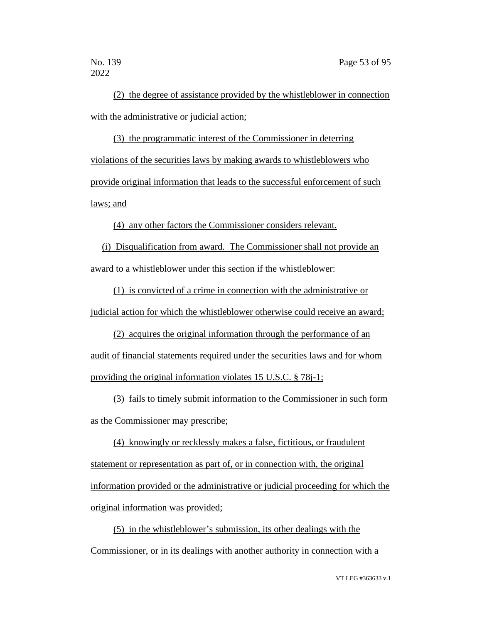(2) the degree of assistance provided by the whistleblower in connection with the administrative or judicial action;

(3) the programmatic interest of the Commissioner in deterring violations of the securities laws by making awards to whistleblowers who provide original information that leads to the successful enforcement of such laws; and

(4) any other factors the Commissioner considers relevant.

(i) Disqualification from award. The Commissioner shall not provide an award to a whistleblower under this section if the whistleblower:

(1) is convicted of a crime in connection with the administrative or judicial action for which the whistleblower otherwise could receive an award;

(2) acquires the original information through the performance of an audit of financial statements required under the securities laws and for whom providing the original information violates 15 U.S.C. § 78j-1;

(3) fails to timely submit information to the Commissioner in such form as the Commissioner may prescribe;

(4) knowingly or recklessly makes a false, fictitious, or fraudulent statement or representation as part of, or in connection with, the original information provided or the administrative or judicial proceeding for which the original information was provided;

(5) in the whistleblower's submission, its other dealings with the Commissioner, or in its dealings with another authority in connection with a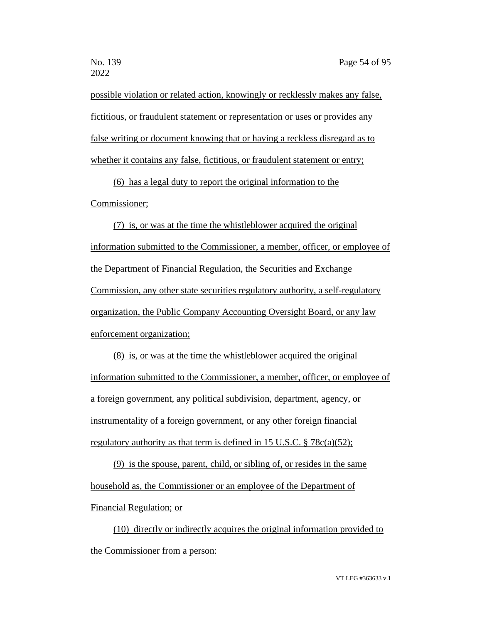possible violation or related action, knowingly or recklessly makes any false, fictitious, or fraudulent statement or representation or uses or provides any false writing or document knowing that or having a reckless disregard as to whether it contains any false, fictitious, or fraudulent statement or entry;

(6) has a legal duty to report the original information to the Commissioner;

(7) is, or was at the time the whistleblower acquired the original information submitted to the Commissioner, a member, officer, or employee of the Department of Financial Regulation, the Securities and Exchange Commission, any other state securities regulatory authority, a self-regulatory organization, the Public Company Accounting Oversight Board, or any law enforcement organization;

(8) is, or was at the time the whistleblower acquired the original information submitted to the Commissioner, a member, officer, or employee of a foreign government, any political subdivision, department, agency, or instrumentality of a foreign government, or any other foreign financial regulatory authority as that term is defined in 15 U.S.C. § 78c(a)(52);

(9) is the spouse, parent, child, or sibling of, or resides in the same household as, the Commissioner or an employee of the Department of Financial Regulation; or

(10) directly or indirectly acquires the original information provided to the Commissioner from a person: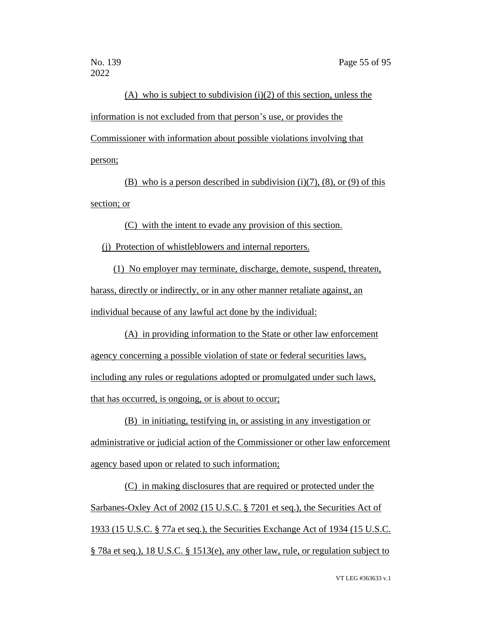(A) who is subject to subdivision  $(i)(2)$  of this section, unless the information is not excluded from that person's use, or provides the Commissioner with information about possible violations involving that person;

(B) who is a person described in subdivision  $(i)(7)$ ,  $(8)$ , or  $(9)$  of this section; or

(C) with the intent to evade any provision of this section.

(j) Protection of whistleblowers and internal reporters.

(1) No employer may terminate, discharge, demote, suspend, threaten, harass, directly or indirectly, or in any other manner retaliate against, an individual because of any lawful act done by the individual:

(A) in providing information to the State or other law enforcement agency concerning a possible violation of state or federal securities laws, including any rules or regulations adopted or promulgated under such laws, that has occurred, is ongoing, or is about to occur;

(B) in initiating, testifying in, or assisting in any investigation or administrative or judicial action of the Commissioner or other law enforcement agency based upon or related to such information;

(C) in making disclosures that are required or protected under the Sarbanes-Oxley Act of 2002 (15 U.S.C. § 7201 et seq.), the Securities Act of 1933 (15 U.S.C. § 77a et seq.), the Securities Exchange Act of 1934 (15 U.S.C. § 78a et seq.), 18 U.S.C. § 1513(e), any other law, rule, or regulation subject to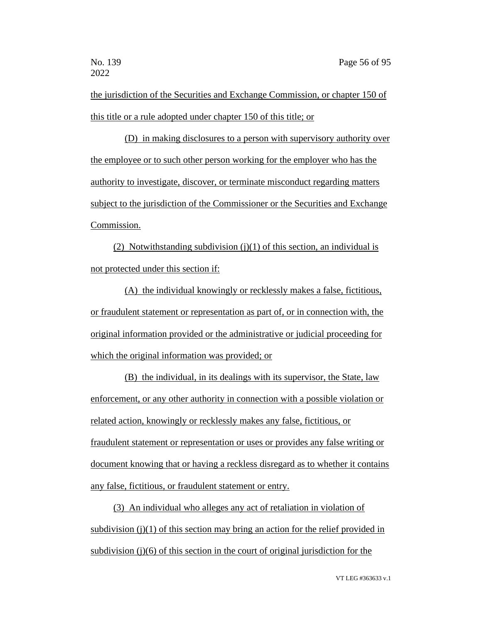the jurisdiction of the Securities and Exchange Commission, or chapter 150 of this title or a rule adopted under chapter 150 of this title; or

(D) in making disclosures to a person with supervisory authority over the employee or to such other person working for the employer who has the authority to investigate, discover, or terminate misconduct regarding matters subject to the jurisdiction of the Commissioner or the Securities and Exchange Commission.

(2) Notwithstanding subdivision  $(j)(1)$  of this section, an individual is not protected under this section if:

(A) the individual knowingly or recklessly makes a false, fictitious, or fraudulent statement or representation as part of, or in connection with, the original information provided or the administrative or judicial proceeding for which the original information was provided; or

(B) the individual, in its dealings with its supervisor, the State, law enforcement, or any other authority in connection with a possible violation or related action, knowingly or recklessly makes any false, fictitious, or fraudulent statement or representation or uses or provides any false writing or document knowing that or having a reckless disregard as to whether it contains any false, fictitious, or fraudulent statement or entry.

(3) An individual who alleges any act of retaliation in violation of subdivision  $(j)(1)$  of this section may bring an action for the relief provided in subdivision (j)(6) of this section in the court of original jurisdiction for the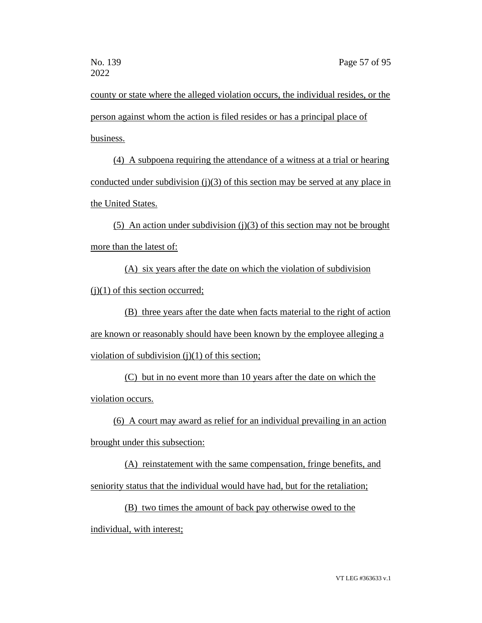county or state where the alleged violation occurs, the individual resides, or the person against whom the action is filed resides or has a principal place of business.

(4) A subpoena requiring the attendance of a witness at a trial or hearing conducted under subdivision (j)(3) of this section may be served at any place in the United States.

(5) An action under subdivision (j)(3) of this section may not be brought more than the latest of:

(A) six years after the date on which the violation of subdivision  $(i)(1)$  of this section occurred;

(B) three years after the date when facts material to the right of action are known or reasonably should have been known by the employee alleging a violation of subdivision  $(j)(1)$  of this section;

(C) but in no event more than 10 years after the date on which the violation occurs.

(6) A court may award as relief for an individual prevailing in an action

brought under this subsection:

(A) reinstatement with the same compensation, fringe benefits, and seniority status that the individual would have had, but for the retaliation;

(B) two times the amount of back pay otherwise owed to the

individual, with interest;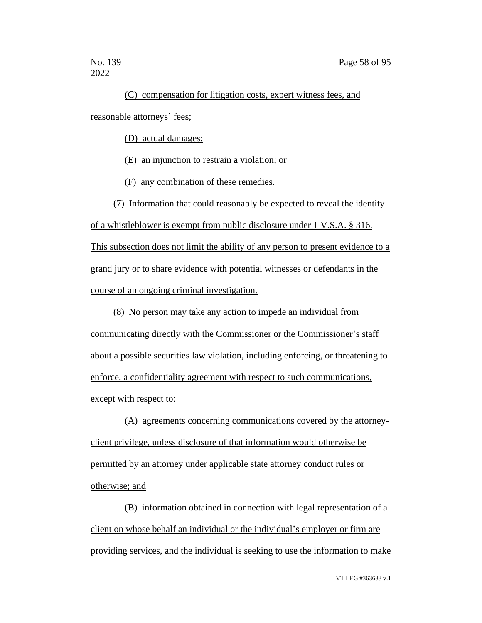### (C) compensation for litigation costs, expert witness fees, and

reasonable attorneys' fees;

(D) actual damages;

(E) an injunction to restrain a violation; or

(F) any combination of these remedies.

(7) Information that could reasonably be expected to reveal the identity

of a whistleblower is exempt from public disclosure under 1 V.S.A. § 316. This subsection does not limit the ability of any person to present evidence to a grand jury or to share evidence with potential witnesses or defendants in the course of an ongoing criminal investigation.

(8) No person may take any action to impede an individual from communicating directly with the Commissioner or the Commissioner's staff about a possible securities law violation, including enforcing, or threatening to enforce, a confidentiality agreement with respect to such communications, except with respect to:

(A) agreements concerning communications covered by the attorneyclient privilege, unless disclosure of that information would otherwise be permitted by an attorney under applicable state attorney conduct rules or otherwise; and

(B) information obtained in connection with legal representation of a client on whose behalf an individual or the individual's employer or firm are providing services, and the individual is seeking to use the information to make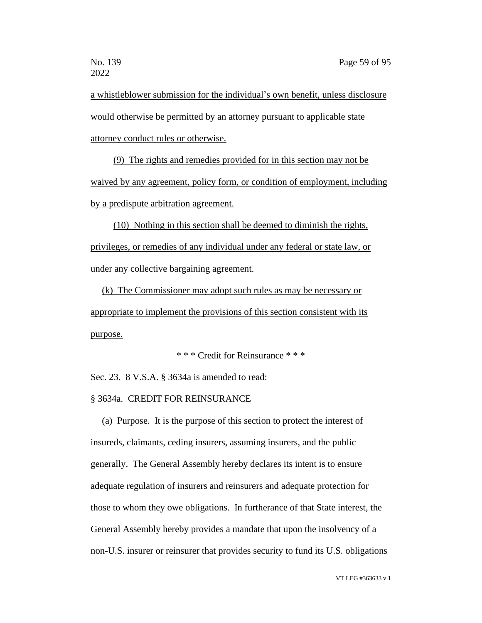a whistleblower submission for the individual's own benefit, unless disclosure would otherwise be permitted by an attorney pursuant to applicable state attorney conduct rules or otherwise.

(9) The rights and remedies provided for in this section may not be waived by any agreement, policy form, or condition of employment, including by a predispute arbitration agreement.

(10) Nothing in this section shall be deemed to diminish the rights, privileges, or remedies of any individual under any federal or state law, or under any collective bargaining agreement.

(k) The Commissioner may adopt such rules as may be necessary or appropriate to implement the provisions of this section consistent with its purpose.

\* \* \* Credit for Reinsurance \* \* \*

Sec. 23. 8 V.S.A. § 3634a is amended to read:

#### § 3634a. CREDIT FOR REINSURANCE

(a) Purpose. It is the purpose of this section to protect the interest of insureds, claimants, ceding insurers, assuming insurers, and the public generally. The General Assembly hereby declares its intent is to ensure adequate regulation of insurers and reinsurers and adequate protection for those to whom they owe obligations. In furtherance of that State interest, the General Assembly hereby provides a mandate that upon the insolvency of a non-U.S. insurer or reinsurer that provides security to fund its U.S. obligations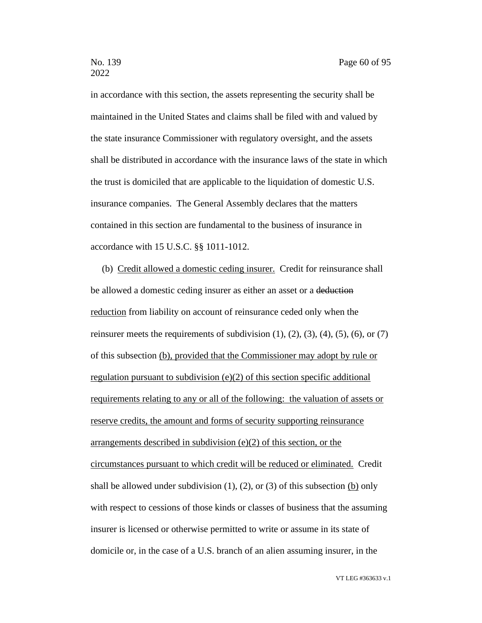in accordance with this section, the assets representing the security shall be maintained in the United States and claims shall be filed with and valued by the state insurance Commissioner with regulatory oversight, and the assets shall be distributed in accordance with the insurance laws of the state in which the trust is domiciled that are applicable to the liquidation of domestic U.S. insurance companies. The General Assembly declares that the matters contained in this section are fundamental to the business of insurance in accordance with 15 U.S.C. §§ 1011-1012.

(b) Credit allowed a domestic ceding insurer. Credit for reinsurance shall be allowed a domestic ceding insurer as either an asset or a deduction reduction from liability on account of reinsurance ceded only when the reinsurer meets the requirements of subdivision  $(1)$ ,  $(2)$ ,  $(3)$ ,  $(4)$ ,  $(5)$ ,  $(6)$ , or  $(7)$ of this subsection (b), provided that the Commissioner may adopt by rule or regulation pursuant to subdivision (e)(2) of this section specific additional requirements relating to any or all of the following: the valuation of assets or reserve credits, the amount and forms of security supporting reinsurance arrangements described in subdivision (e)(2) of this section, or the circumstances pursuant to which credit will be reduced or eliminated. Credit shall be allowed under subdivision  $(1)$ ,  $(2)$ , or  $(3)$  of this subsection  $(b)$  only with respect to cessions of those kinds or classes of business that the assuming insurer is licensed or otherwise permitted to write or assume in its state of domicile or, in the case of a U.S. branch of an alien assuming insurer, in the

VT LEG #363633 v.1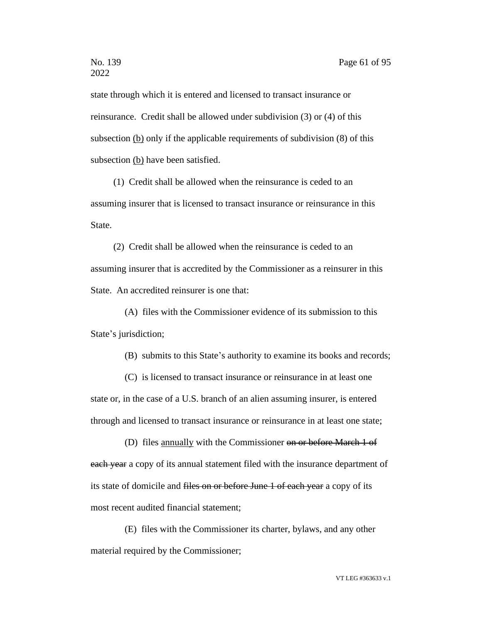state through which it is entered and licensed to transact insurance or reinsurance. Credit shall be allowed under subdivision (3) or (4) of this subsection (b) only if the applicable requirements of subdivision (8) of this subsection (b) have been satisfied.

(1) Credit shall be allowed when the reinsurance is ceded to an assuming insurer that is licensed to transact insurance or reinsurance in this State.

(2) Credit shall be allowed when the reinsurance is ceded to an assuming insurer that is accredited by the Commissioner as a reinsurer in this State. An accredited reinsurer is one that:

(A) files with the Commissioner evidence of its submission to this State's jurisdiction;

(B) submits to this State's authority to examine its books and records;

(C) is licensed to transact insurance or reinsurance in at least one state or, in the case of a U.S. branch of an alien assuming insurer, is entered through and licensed to transact insurance or reinsurance in at least one state;

(D) files annually with the Commissioner on or before March 1 of each year a copy of its annual statement filed with the insurance department of its state of domicile and files on or before June 1 of each year a copy of its most recent audited financial statement;

(E) files with the Commissioner its charter, bylaws, and any other material required by the Commissioner;

VT LEG #363633 v.1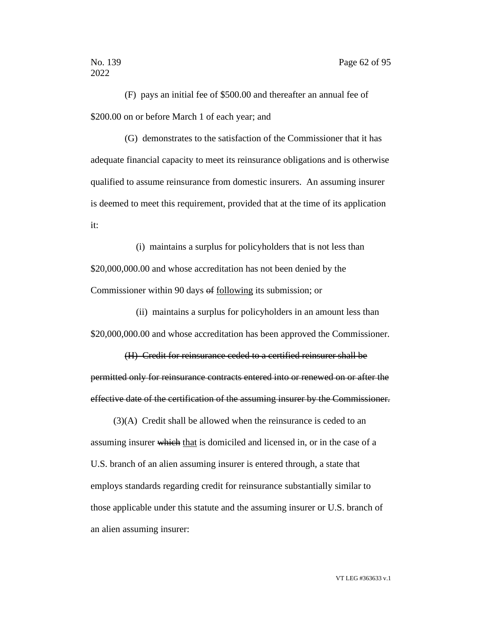(F) pays an initial fee of \$500.00 and thereafter an annual fee of \$200.00 on or before March 1 of each year; and

(G) demonstrates to the satisfaction of the Commissioner that it has adequate financial capacity to meet its reinsurance obligations and is otherwise qualified to assume reinsurance from domestic insurers. An assuming insurer is deemed to meet this requirement, provided that at the time of its application it:

(i) maintains a surplus for policyholders that is not less than \$20,000,000.00 and whose accreditation has not been denied by the Commissioner within 90 days of following its submission; or

(ii) maintains a surplus for policyholders in an amount less than \$20,000,000.00 and whose accreditation has been approved the Commissioner.

(H) Credit for reinsurance ceded to a certified reinsurer shall be permitted only for reinsurance contracts entered into or renewed on or after the effective date of the certification of the assuming insurer by the Commissioner.

(3)(A) Credit shall be allowed when the reinsurance is ceded to an assuming insurer which that is domiciled and licensed in, or in the case of a U.S. branch of an alien assuming insurer is entered through, a state that employs standards regarding credit for reinsurance substantially similar to those applicable under this statute and the assuming insurer or U.S. branch of an alien assuming insurer: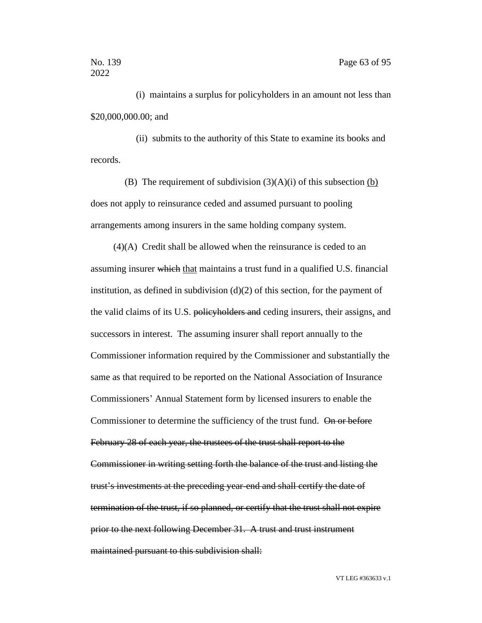(i) maintains a surplus for policyholders in an amount not less than \$20,000,000.00; and

(ii) submits to the authority of this State to examine its books and records.

(B) The requirement of subdivision  $(3)(A)(i)$  of this subsection (b) does not apply to reinsurance ceded and assumed pursuant to pooling arrangements among insurers in the same holding company system.

(4)(A) Credit shall be allowed when the reinsurance is ceded to an assuming insurer which that maintains a trust fund in a qualified U.S. financial institution, as defined in subdivision  $(d)(2)$  of this section, for the payment of the valid claims of its U.S. policyholders and ceding insurers, their assigns, and successors in interest. The assuming insurer shall report annually to the Commissioner information required by the Commissioner and substantially the same as that required to be reported on the National Association of Insurance Commissioners' Annual Statement form by licensed insurers to enable the Commissioner to determine the sufficiency of the trust fund. On or before February 28 of each year, the trustees of the trust shall report to the Commissioner in writing setting forth the balance of the trust and listing the trust's investments at the preceding year-end and shall certify the date of termination of the trust, if so planned, or certify that the trust shall not expire prior to the next following December 31. A trust and trust instrument maintained pursuant to this subdivision shall: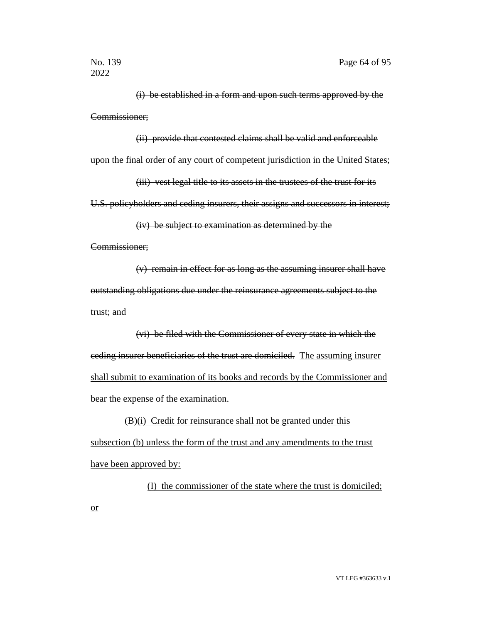(i) be established in a form and upon such terms approved by the Commissioner;

(ii) provide that contested claims shall be valid and enforceable upon the final order of any court of competent jurisdiction in the United States;

(iii) vest legal title to its assets in the trustees of the trust for its

U.S. policyholders and ceding insurers, their assigns and successors in interest;

(iv) be subject to examination as determined by the

Commissioner;

or

(v) remain in effect for as long as the assuming insurer shall have outstanding obligations due under the reinsurance agreements subject to the trust; and

(vi) be filed with the Commissioner of every state in which the ceding insurer beneficiaries of the trust are domiciled. The assuming insurer shall submit to examination of its books and records by the Commissioner and bear the expense of the examination.

(B)(i) Credit for reinsurance shall not be granted under this subsection (b) unless the form of the trust and any amendments to the trust have been approved by:

(I) the commissioner of the state where the trust is domiciled;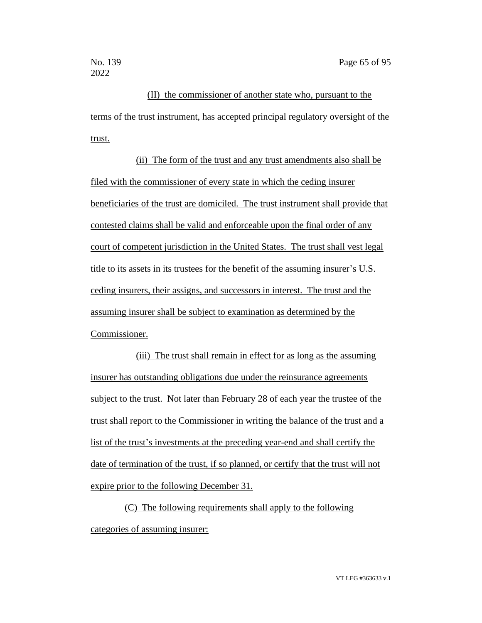(II) the commissioner of another state who, pursuant to the terms of the trust instrument, has accepted principal regulatory oversight of the trust.

(ii) The form of the trust and any trust amendments also shall be filed with the commissioner of every state in which the ceding insurer beneficiaries of the trust are domiciled. The trust instrument shall provide that contested claims shall be valid and enforceable upon the final order of any court of competent jurisdiction in the United States. The trust shall vest legal title to its assets in its trustees for the benefit of the assuming insurer's U.S. ceding insurers, their assigns, and successors in interest. The trust and the assuming insurer shall be subject to examination as determined by the Commissioner.

(iii) The trust shall remain in effect for as long as the assuming insurer has outstanding obligations due under the reinsurance agreements subject to the trust. Not later than February 28 of each year the trustee of the trust shall report to the Commissioner in writing the balance of the trust and a list of the trust's investments at the preceding year-end and shall certify the date of termination of the trust, if so planned, or certify that the trust will not expire prior to the following December 31.

(C) The following requirements shall apply to the following categories of assuming insurer: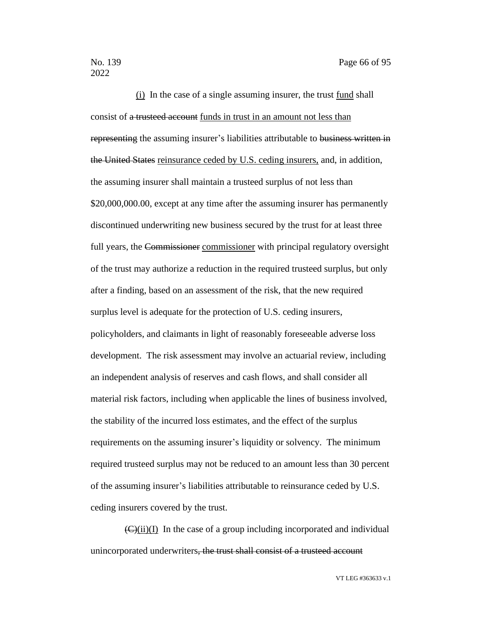(i) In the case of a single assuming insurer, the trust fund shall consist of a trusteed account funds in trust in an amount not less than representing the assuming insurer's liabilities attributable to business written in the United States reinsurance ceded by U.S. ceding insurers, and, in addition, the assuming insurer shall maintain a trusteed surplus of not less than \$20,000,000.00, except at any time after the assuming insurer has permanently discontinued underwriting new business secured by the trust for at least three full years, the Commissioner commissioner with principal regulatory oversight of the trust may authorize a reduction in the required trusteed surplus, but only after a finding, based on an assessment of the risk, that the new required surplus level is adequate for the protection of U.S. ceding insurers, policyholders, and claimants in light of reasonably foreseeable adverse loss development. The risk assessment may involve an actuarial review, including an independent analysis of reserves and cash flows, and shall consider all material risk factors, including when applicable the lines of business involved, the stability of the incurred loss estimates, and the effect of the surplus requirements on the assuming insurer's liquidity or solvency. The minimum required trusteed surplus may not be reduced to an amount less than 30 percent of the assuming insurer's liabilities attributable to reinsurance ceded by U.S. ceding insurers covered by the trust.

 $(\mathbf{C})(\mathbf{ii})(\mathbf{I})$  In the case of a group including incorporated and individual unincorporated underwriters, the trust shall consist of a trusteed account

VT LEG #363633 v.1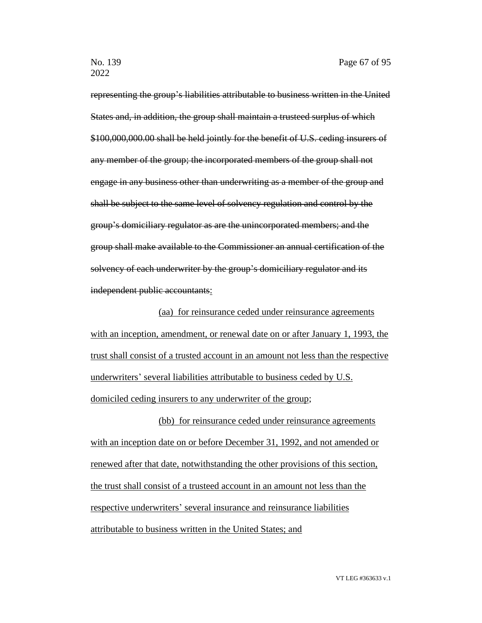representing the group's liabilities attributable to business written in the United States and, in addition, the group shall maintain a trusteed surplus of which \$100,000,000.00 shall be held jointly for the benefit of U.S. ceding insurers of any member of the group; the incorporated members of the group shall not engage in any business other than underwriting as a member of the group and shall be subject to the same level of solvency regulation and control by the group's domiciliary regulator as are the unincorporated members; and the group shall make available to the Commissioner an annual certification of the solvency of each underwriter by the group's domiciliary regulator and its independent public accountants:

(aa) for reinsurance ceded under reinsurance agreements with an inception, amendment, or renewal date on or after January 1, 1993, the trust shall consist of a trusted account in an amount not less than the respective underwriters' several liabilities attributable to business ceded by U.S. domiciled ceding insurers to any underwriter of the group;

(bb) for reinsurance ceded under reinsurance agreements with an inception date on or before December 31, 1992, and not amended or renewed after that date, notwithstanding the other provisions of this section, the trust shall consist of a trusteed account in an amount not less than the respective underwriters' several insurance and reinsurance liabilities attributable to business written in the United States; and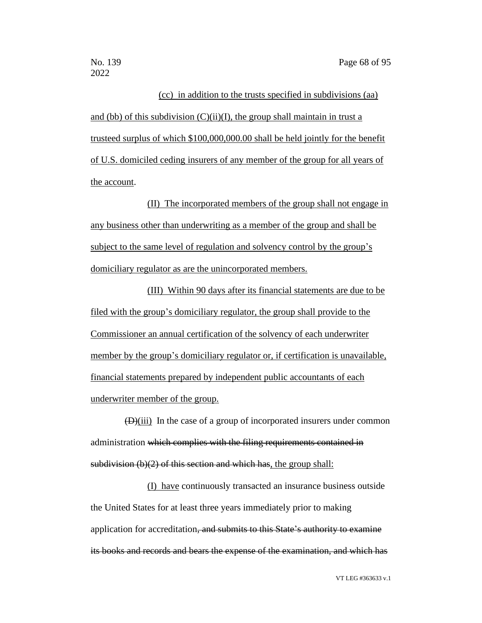# (cc) in addition to the trusts specified in subdivisions (aa) and (bb) of this subdivision  $(C)(ii)(I)$ , the group shall maintain in trust a trusteed surplus of which \$100,000,000.00 shall be held jointly for the benefit of U.S. domiciled ceding insurers of any member of the group for all years of

the account.

(II) The incorporated members of the group shall not engage in any business other than underwriting as a member of the group and shall be subject to the same level of regulation and solvency control by the group's domiciliary regulator as are the unincorporated members.

(III) Within 90 days after its financial statements are due to be filed with the group's domiciliary regulator, the group shall provide to the Commissioner an annual certification of the solvency of each underwriter member by the group's domiciliary regulator or, if certification is unavailable, financial statements prepared by independent public accountants of each underwriter member of the group.

 $(D)(iii)$  In the case of a group of incorporated insurers under common administration which complies with the filing requirements contained in subdivision  $(b)(2)$  of this section and which has, the group shall:

(I) have continuously transacted an insurance business outside the United States for at least three years immediately prior to making application for accreditation, and submits to this State's authority to examine its books and records and bears the expense of the examination, and which has

VT LEG #363633 v.1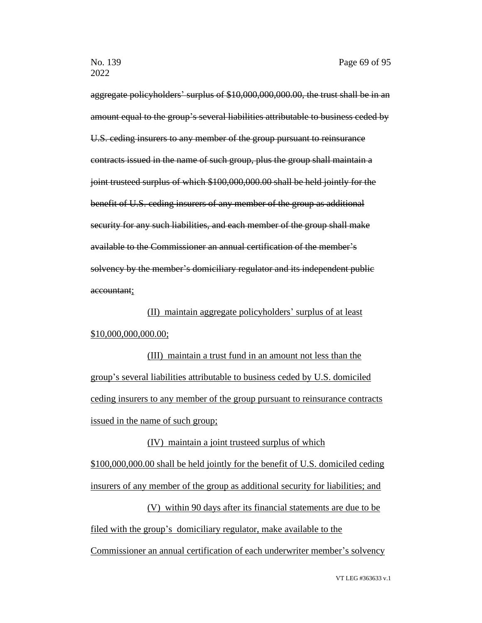aggregate policyholders' surplus of \$10,000,000,000.00, the trust shall be in an amount equal to the group's several liabilities attributable to business ceded by U.S. ceding insurers to any member of the group pursuant to reinsurance contracts issued in the name of such group, plus the group shall maintain a joint trusteed surplus of which \$100,000,000.00 shall be held jointly for the benefit of U.S. ceding insurers of any member of the group as additional security for any such liabilities, and each member of the group shall make available to the Commissioner an annual certification of the member's solvency by the member's domiciliary regulator and its independent public accountant;

(II) maintain aggregate policyholders' surplus of at least \$10,000,000,000.00;

(III) maintain a trust fund in an amount not less than the group's several liabilities attributable to business ceded by U.S. domiciled ceding insurers to any member of the group pursuant to reinsurance contracts issued in the name of such group;

#### (IV) maintain a joint trusteed surplus of which

\$100,000,000.00 shall be held jointly for the benefit of U.S. domiciled ceding insurers of any member of the group as additional security for liabilities; and

(V) within 90 days after its financial statements are due to be filed with the group's domiciliary regulator, make available to the Commissioner an annual certification of each underwriter member's solvency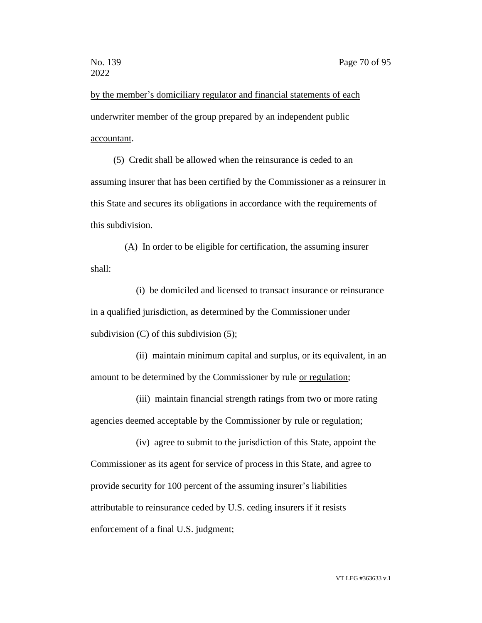by the member's domiciliary regulator and financial statements of each underwriter member of the group prepared by an independent public accountant.

(5) Credit shall be allowed when the reinsurance is ceded to an assuming insurer that has been certified by the Commissioner as a reinsurer in this State and secures its obligations in accordance with the requirements of this subdivision.

(A) In order to be eligible for certification, the assuming insurer shall:

(i) be domiciled and licensed to transact insurance or reinsurance in a qualified jurisdiction, as determined by the Commissioner under subdivision (C) of this subdivision (5);

(ii) maintain minimum capital and surplus, or its equivalent, in an amount to be determined by the Commissioner by rule or regulation;

(iii) maintain financial strength ratings from two or more rating agencies deemed acceptable by the Commissioner by rule or regulation;

(iv) agree to submit to the jurisdiction of this State, appoint the Commissioner as its agent for service of process in this State, and agree to provide security for 100 percent of the assuming insurer's liabilities attributable to reinsurance ceded by U.S. ceding insurers if it resists enforcement of a final U.S. judgment;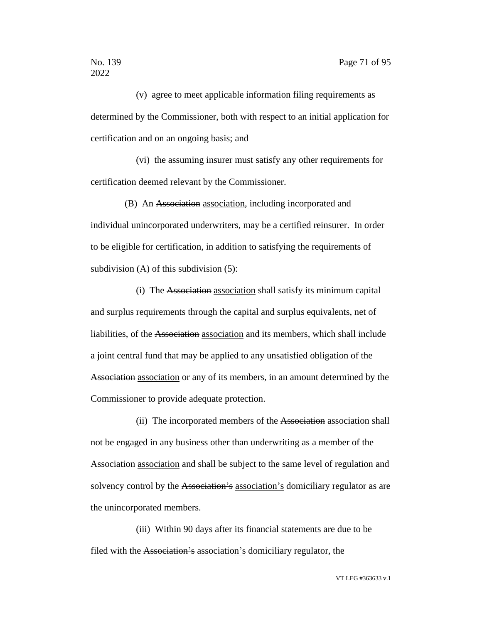(v) agree to meet applicable information filing requirements as determined by the Commissioner, both with respect to an initial application for certification and on an ongoing basis; and

(vi) the assuming insurer must satisfy any other requirements for certification deemed relevant by the Commissioner.

(B) An Association association, including incorporated and individual unincorporated underwriters, may be a certified reinsurer. In order to be eligible for certification, in addition to satisfying the requirements of subdivision (A) of this subdivision (5):

(i) The Association association shall satisfy its minimum capital and surplus requirements through the capital and surplus equivalents, net of liabilities, of the Association association and its members, which shall include a joint central fund that may be applied to any unsatisfied obligation of the Association association or any of its members, in an amount determined by the Commissioner to provide adequate protection.

(ii) The incorporated members of the Association association shall not be engaged in any business other than underwriting as a member of the Association association and shall be subject to the same level of regulation and solvency control by the Association's association's domiciliary regulator as are the unincorporated members.

(iii) Within 90 days after its financial statements are due to be filed with the Association's association's domiciliary regulator, the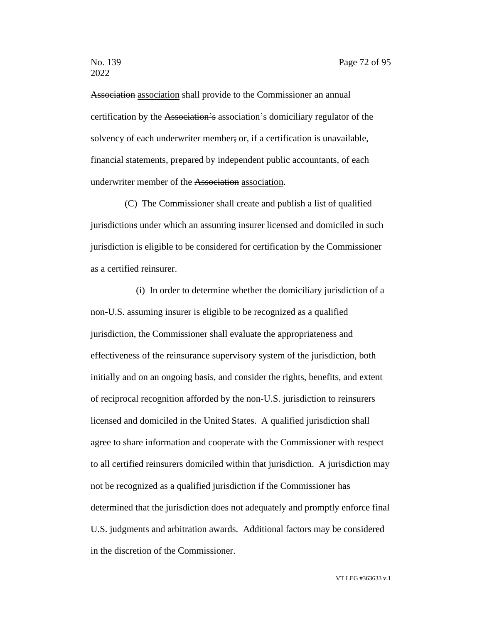Association association shall provide to the Commissioner an annual certification by the Association's association's domiciliary regulator of the solvency of each underwriter member; or, if a certification is unavailable, financial statements, prepared by independent public accountants, of each underwriter member of the Association association.

(C) The Commissioner shall create and publish a list of qualified jurisdictions under which an assuming insurer licensed and domiciled in such jurisdiction is eligible to be considered for certification by the Commissioner as a certified reinsurer.

(i) In order to determine whether the domiciliary jurisdiction of a non-U.S. assuming insurer is eligible to be recognized as a qualified jurisdiction, the Commissioner shall evaluate the appropriateness and effectiveness of the reinsurance supervisory system of the jurisdiction, both initially and on an ongoing basis, and consider the rights, benefits, and extent of reciprocal recognition afforded by the non-U.S. jurisdiction to reinsurers licensed and domiciled in the United States. A qualified jurisdiction shall agree to share information and cooperate with the Commissioner with respect to all certified reinsurers domiciled within that jurisdiction. A jurisdiction may not be recognized as a qualified jurisdiction if the Commissioner has determined that the jurisdiction does not adequately and promptly enforce final U.S. judgments and arbitration awards. Additional factors may be considered in the discretion of the Commissioner.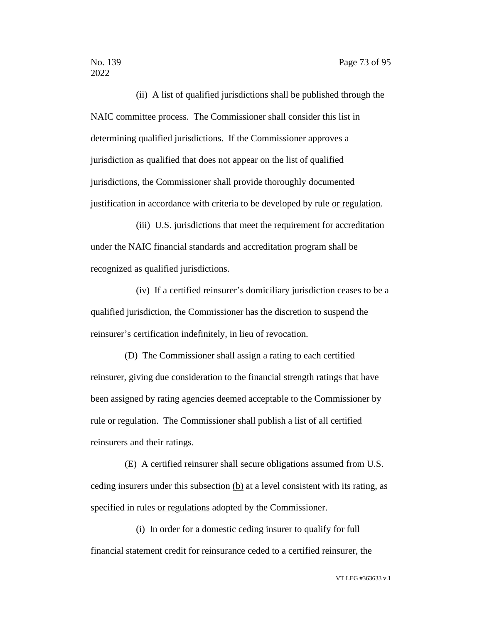(ii) A list of qualified jurisdictions shall be published through the NAIC committee process. The Commissioner shall consider this list in determining qualified jurisdictions. If the Commissioner approves a jurisdiction as qualified that does not appear on the list of qualified jurisdictions, the Commissioner shall provide thoroughly documented justification in accordance with criteria to be developed by rule or regulation.

(iii) U.S. jurisdictions that meet the requirement for accreditation under the NAIC financial standards and accreditation program shall be recognized as qualified jurisdictions.

(iv) If a certified reinsurer's domiciliary jurisdiction ceases to be a qualified jurisdiction, the Commissioner has the discretion to suspend the reinsurer's certification indefinitely, in lieu of revocation.

(D) The Commissioner shall assign a rating to each certified reinsurer, giving due consideration to the financial strength ratings that have been assigned by rating agencies deemed acceptable to the Commissioner by rule or regulation. The Commissioner shall publish a list of all certified reinsurers and their ratings.

(E) A certified reinsurer shall secure obligations assumed from U.S. ceding insurers under this subsection (b) at a level consistent with its rating, as specified in rules or regulations adopted by the Commissioner.

(i) In order for a domestic ceding insurer to qualify for full financial statement credit for reinsurance ceded to a certified reinsurer, the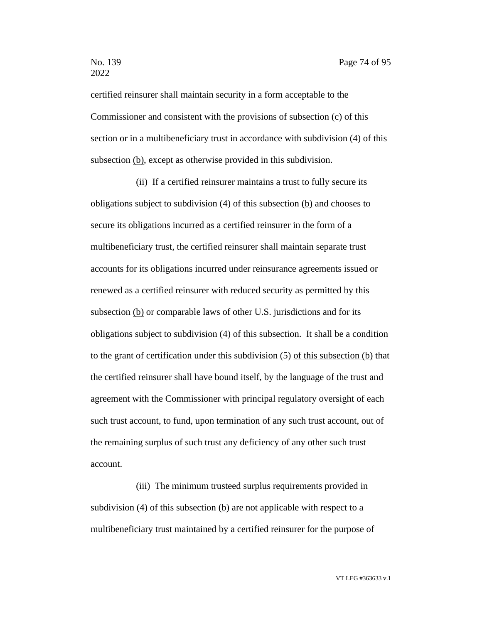certified reinsurer shall maintain security in a form acceptable to the Commissioner and consistent with the provisions of subsection (c) of this section or in a multibeneficiary trust in accordance with subdivision (4) of this subsection (b), except as otherwise provided in this subdivision.

(ii) If a certified reinsurer maintains a trust to fully secure its obligations subject to subdivision  $(4)$  of this subsection  $(b)$  and chooses to secure its obligations incurred as a certified reinsurer in the form of a multibeneficiary trust, the certified reinsurer shall maintain separate trust accounts for its obligations incurred under reinsurance agreements issued or renewed as a certified reinsurer with reduced security as permitted by this subsection (b) or comparable laws of other U.S. jurisdictions and for its obligations subject to subdivision (4) of this subsection. It shall be a condition to the grant of certification under this subdivision (5) of this subsection (b) that the certified reinsurer shall have bound itself, by the language of the trust and agreement with the Commissioner with principal regulatory oversight of each such trust account, to fund, upon termination of any such trust account, out of the remaining surplus of such trust any deficiency of any other such trust account.

(iii) The minimum trusteed surplus requirements provided in subdivision (4) of this subsection (b) are not applicable with respect to a multibeneficiary trust maintained by a certified reinsurer for the purpose of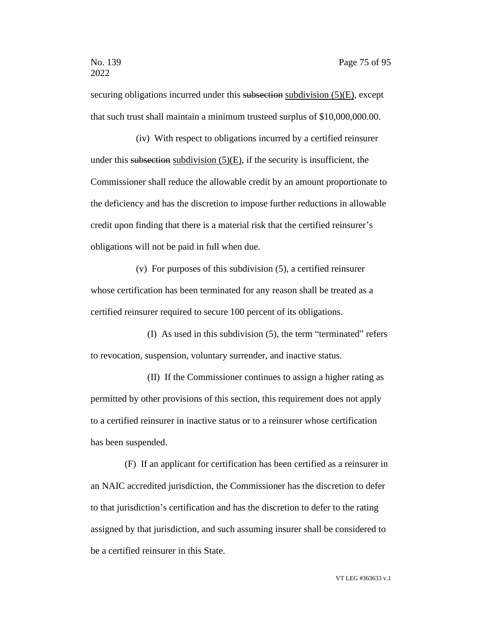securing obligations incurred under this subsection subdivision (5)(E), except that such trust shall maintain a minimum trusteed surplus of \$10,000,000.00.

(iv) With respect to obligations incurred by a certified reinsurer under this subsection subdivision  $(5)(E)$ , if the security is insufficient, the Commissioner shall reduce the allowable credit by an amount proportionate to the deficiency and has the discretion to impose further reductions in allowable credit upon finding that there is a material risk that the certified reinsurer's obligations will not be paid in full when due.

(v) For purposes of this subdivision (5), a certified reinsurer whose certification has been terminated for any reason shall be treated as a certified reinsurer required to secure 100 percent of its obligations.

(I) As used in this subdivision (5), the term "terminated" refers to revocation, suspension, voluntary surrender, and inactive status.

(II) If the Commissioner continues to assign a higher rating as permitted by other provisions of this section, this requirement does not apply to a certified reinsurer in inactive status or to a reinsurer whose certification has been suspended.

(F) If an applicant for certification has been certified as a reinsurer in an NAIC accredited jurisdiction, the Commissioner has the discretion to defer to that jurisdiction's certification and has the discretion to defer to the rating assigned by that jurisdiction, and such assuming insurer shall be considered to be a certified reinsurer in this State.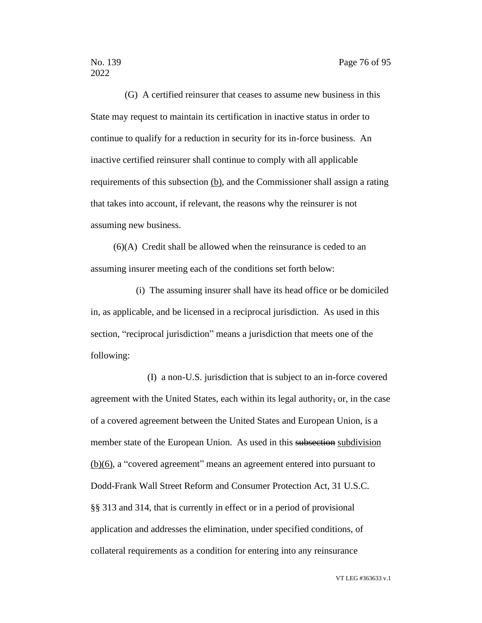(G) A certified reinsurer that ceases to assume new business in this State may request to maintain its certification in inactive status in order to continue to qualify for a reduction in security for its in-force business. An inactive certified reinsurer shall continue to comply with all applicable requirements of this subsection (b), and the Commissioner shall assign a rating that takes into account, if relevant, the reasons why the reinsurer is not assuming new business.

(6)(A) Credit shall be allowed when the reinsurance is ceded to an assuming insurer meeting each of the conditions set forth below:

(i) The assuming insurer shall have its head office or be domiciled in, as applicable, and be licensed in a reciprocal jurisdiction. As used in this section, "reciprocal jurisdiction" means a jurisdiction that meets one of the following:

(I) a non-U.S. jurisdiction that is subject to an in-force covered agreement with the United States, each within its legal authority, or, in the case of a covered agreement between the United States and European Union, is a member state of the European Union. As used in this subsection subdivision (b)(6), a "covered agreement" means an agreement entered into pursuant to Dodd-Frank Wall Street Reform and Consumer Protection Act, 31 U.S.C. §§ 313 and 314, that is currently in effect or in a period of provisional application and addresses the elimination, under specified conditions, of collateral requirements as a condition for entering into any reinsurance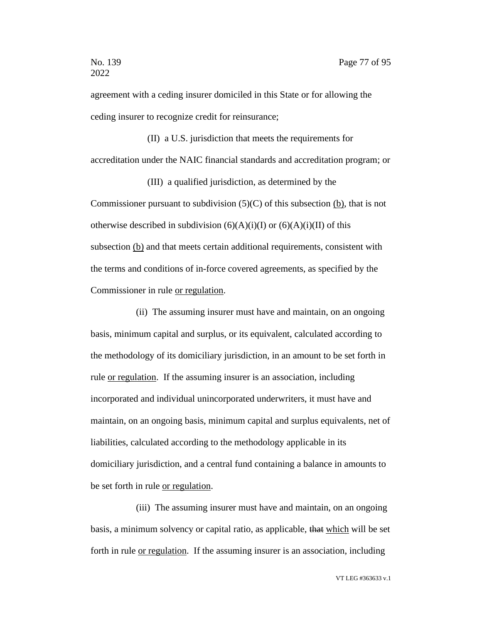agreement with a ceding insurer domiciled in this State or for allowing the ceding insurer to recognize credit for reinsurance;

(II) a U.S. jurisdiction that meets the requirements for accreditation under the NAIC financial standards and accreditation program; or

(III) a qualified jurisdiction, as determined by the Commissioner pursuant to subdivision  $(5)(C)$  of this subsection (b), that is not otherwise described in subdivision  $(6)(A)(i)(I)$  or  $(6)(A)(i)(II)$  of this subsection (b) and that meets certain additional requirements, consistent with the terms and conditions of in-force covered agreements, as specified by the Commissioner in rule or regulation.

(ii) The assuming insurer must have and maintain, on an ongoing basis, minimum capital and surplus, or its equivalent, calculated according to the methodology of its domiciliary jurisdiction, in an amount to be set forth in rule or regulation. If the assuming insurer is an association, including incorporated and individual unincorporated underwriters, it must have and maintain, on an ongoing basis, minimum capital and surplus equivalents, net of liabilities, calculated according to the methodology applicable in its domiciliary jurisdiction, and a central fund containing a balance in amounts to be set forth in rule or regulation.

(iii) The assuming insurer must have and maintain, on an ongoing basis, a minimum solvency or capital ratio, as applicable, that which will be set forth in rule <u>or regulation</u>. If the assuming insurer is an association, including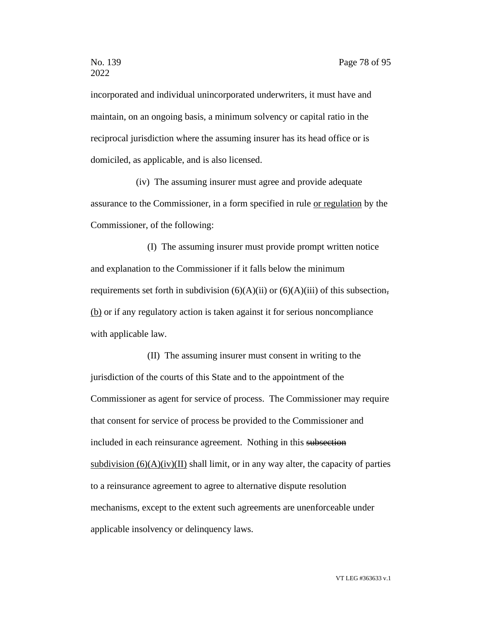incorporated and individual unincorporated underwriters, it must have and maintain, on an ongoing basis, a minimum solvency or capital ratio in the reciprocal jurisdiction where the assuming insurer has its head office or is domiciled, as applicable, and is also licensed.

(iv) The assuming insurer must agree and provide adequate assurance to the Commissioner, in a form specified in rule or regulation by the Commissioner, of the following:

(I) The assuming insurer must provide prompt written notice and explanation to the Commissioner if it falls below the minimum requirements set forth in subdivision  $(6)(A)(ii)$  or  $(6)(A)(iii)$  of this subsection, (b) or if any regulatory action is taken against it for serious noncompliance with applicable law.

(II) The assuming insurer must consent in writing to the jurisdiction of the courts of this State and to the appointment of the Commissioner as agent for service of process. The Commissioner may require that consent for service of process be provided to the Commissioner and included in each reinsurance agreement. Nothing in this subsection subdivision  $(6)(A)(iv)(II)$  shall limit, or in any way alter, the capacity of parties to a reinsurance agreement to agree to alternative dispute resolution mechanisms, except to the extent such agreements are unenforceable under applicable insolvency or delinquency laws.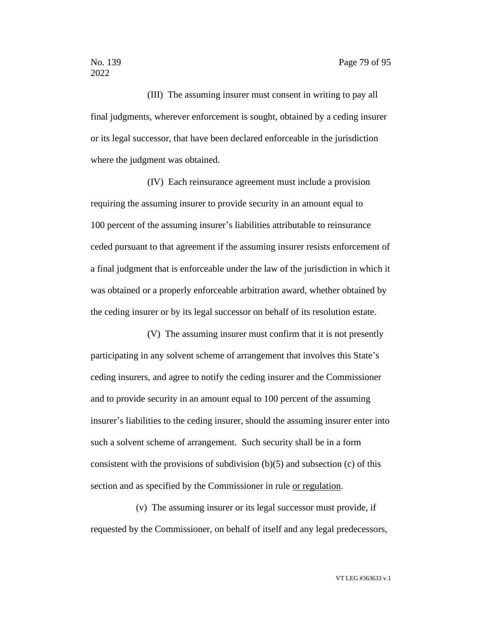(III) The assuming insurer must consent in writing to pay all final judgments, wherever enforcement is sought, obtained by a ceding insurer or its legal successor, that have been declared enforceable in the jurisdiction where the judgment was obtained.

(IV) Each reinsurance agreement must include a provision requiring the assuming insurer to provide security in an amount equal to 100 percent of the assuming insurer's liabilities attributable to reinsurance ceded pursuant to that agreement if the assuming insurer resists enforcement of a final judgment that is enforceable under the law of the jurisdiction in which it was obtained or a properly enforceable arbitration award, whether obtained by the ceding insurer or by its legal successor on behalf of its resolution estate.

(V) The assuming insurer must confirm that it is not presently participating in any solvent scheme of arrangement that involves this State's ceding insurers, and agree to notify the ceding insurer and the Commissioner and to provide security in an amount equal to 100 percent of the assuming insurer's liabilities to the ceding insurer, should the assuming insurer enter into such a solvent scheme of arrangement. Such security shall be in a form consistent with the provisions of subdivision  $(b)(5)$  and subsection  $(c)$  of this section and as specified by the Commissioner in rule or regulation.

(v) The assuming insurer or its legal successor must provide, if requested by the Commissioner, on behalf of itself and any legal predecessors,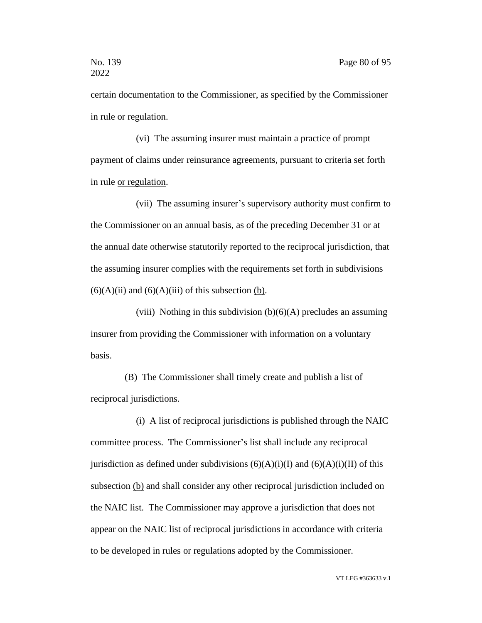certain documentation to the Commissioner, as specified by the Commissioner in rule or regulation.

(vi) The assuming insurer must maintain a practice of prompt payment of claims under reinsurance agreements, pursuant to criteria set forth in rule or regulation.

(vii) The assuming insurer's supervisory authority must confirm to the Commissioner on an annual basis, as of the preceding December 31 or at the annual date otherwise statutorily reported to the reciprocal jurisdiction, that the assuming insurer complies with the requirements set forth in subdivisions  $(6)(A)(ii)$  and  $(6)(A)(iii)$  of this subsection (b).

(viii) Nothing in this subdivision  $(b)(6)(A)$  precludes an assuming insurer from providing the Commissioner with information on a voluntary basis.

(B) The Commissioner shall timely create and publish a list of reciprocal jurisdictions.

(i) A list of reciprocal jurisdictions is published through the NAIC committee process. The Commissioner's list shall include any reciprocal jurisdiction as defined under subdivisions  $(6)(A)(i)(I)$  and  $(6)(A)(i)(II)$  of this subsection (b) and shall consider any other reciprocal jurisdiction included on the NAIC list. The Commissioner may approve a jurisdiction that does not appear on the NAIC list of reciprocal jurisdictions in accordance with criteria to be developed in rules or regulations adopted by the Commissioner.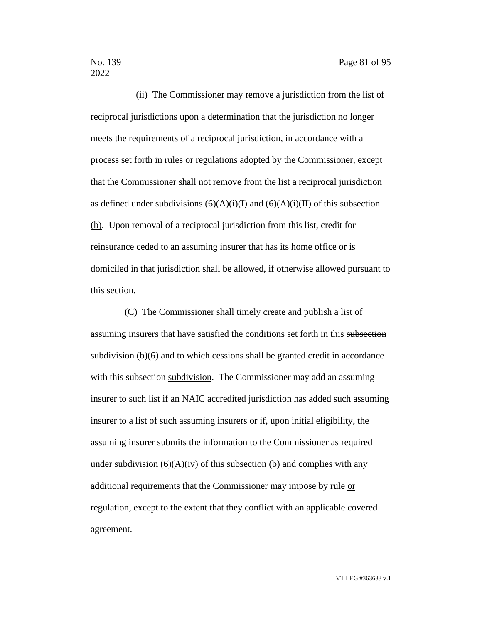(ii) The Commissioner may remove a jurisdiction from the list of reciprocal jurisdictions upon a determination that the jurisdiction no longer meets the requirements of a reciprocal jurisdiction, in accordance with a process set forth in rules or regulations adopted by the Commissioner, except that the Commissioner shall not remove from the list a reciprocal jurisdiction as defined under subdivisions  $(6)(A)(i)(I)$  and  $(6)(A)(i)(II)$  of this subsection (b). Upon removal of a reciprocal jurisdiction from this list, credit for reinsurance ceded to an assuming insurer that has its home office or is domiciled in that jurisdiction shall be allowed, if otherwise allowed pursuant to this section.

(C) The Commissioner shall timely create and publish a list of assuming insurers that have satisfied the conditions set forth in this subsection subdivision  $(b)(6)$  and to which cessions shall be granted credit in accordance with this subsection subdivision. The Commissioner may add an assuming insurer to such list if an NAIC accredited jurisdiction has added such assuming insurer to a list of such assuming insurers or if, upon initial eligibility, the assuming insurer submits the information to the Commissioner as required under subdivision  $(6)(A)(iv)$  of this subsection (b) and complies with any additional requirements that the Commissioner may impose by rule or regulation, except to the extent that they conflict with an applicable covered agreement.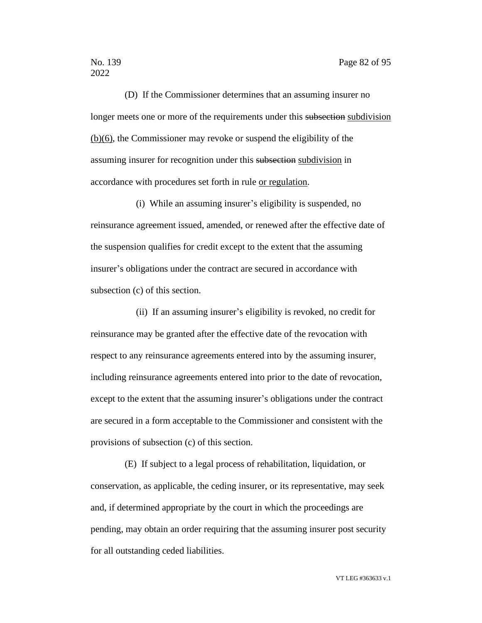(D) If the Commissioner determines that an assuming insurer no longer meets one or more of the requirements under this subsection subdivision (b)(6), the Commissioner may revoke or suspend the eligibility of the assuming insurer for recognition under this subsection subdivision in accordance with procedures set forth in rule or regulation.

(i) While an assuming insurer's eligibility is suspended, no reinsurance agreement issued, amended, or renewed after the effective date of the suspension qualifies for credit except to the extent that the assuming insurer's obligations under the contract are secured in accordance with subsection (c) of this section.

(ii) If an assuming insurer's eligibility is revoked, no credit for reinsurance may be granted after the effective date of the revocation with respect to any reinsurance agreements entered into by the assuming insurer, including reinsurance agreements entered into prior to the date of revocation, except to the extent that the assuming insurer's obligations under the contract are secured in a form acceptable to the Commissioner and consistent with the provisions of subsection (c) of this section.

(E) If subject to a legal process of rehabilitation, liquidation, or conservation, as applicable, the ceding insurer, or its representative, may seek and, if determined appropriate by the court in which the proceedings are pending, may obtain an order requiring that the assuming insurer post security for all outstanding ceded liabilities.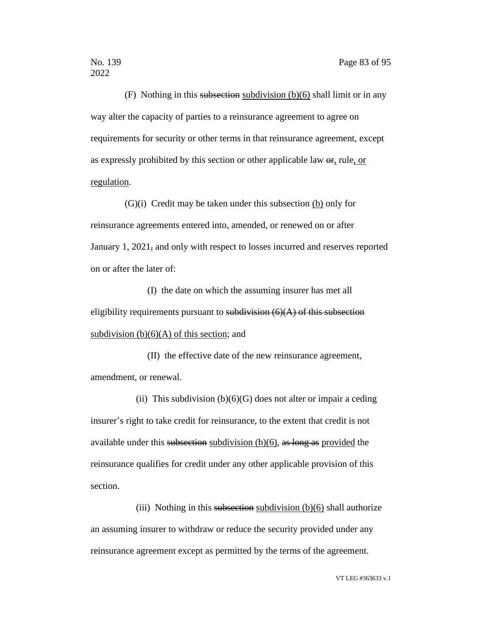(F) Nothing in this subsection subdivision  $(b)(6)$  shall limit or in any way alter the capacity of parties to a reinsurance agreement to agree on requirements for security or other terms in that reinsurance agreement, except as expressly prohibited by this section or other applicable law or, rule, or regulation.

(G)(i) Credit may be taken under this subsection (b) only for reinsurance agreements entered into, amended, or renewed on or after January 1, 2021<sub>7</sub> and only with respect to losses incurred and reserves reported on or after the later of:

(I) the date on which the assuming insurer has met all eligibility requirements pursuant to subdivision  $(6)(A)$  of this subsection subdivision  $(b)(6)(A)$  of this section; and

(II) the effective date of the new reinsurance agreement, amendment, or renewal.

(ii) This subdivision  $(b)(6)(G)$  does not alter or impair a ceding insurer's right to take credit for reinsurance, to the extent that credit is not available under this subsection subdivision  $(b)(6)$ , as long as provided the reinsurance qualifies for credit under any other applicable provision of this section.

(iii) Nothing in this subsection subdivision  $(b)(6)$  shall authorize an assuming insurer to withdraw or reduce the security provided under any reinsurance agreement except as permitted by the terms of the agreement.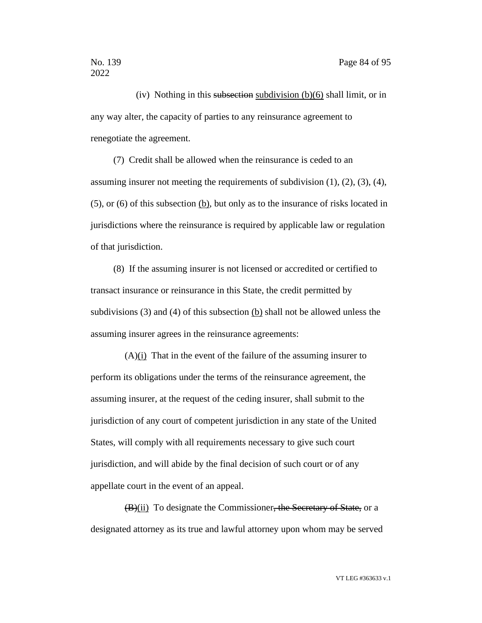(iv) Nothing in this subsection subdivision  $(b)(6)$  shall limit, or in any way alter, the capacity of parties to any reinsurance agreement to renegotiate the agreement.

(7) Credit shall be allowed when the reinsurance is ceded to an assuming insurer not meeting the requirements of subdivision  $(1)$ ,  $(2)$ ,  $(3)$ ,  $(4)$ , (5), or (6) of this subsection (b), but only as to the insurance of risks located in jurisdictions where the reinsurance is required by applicable law or regulation of that jurisdiction.

(8) If the assuming insurer is not licensed or accredited or certified to transact insurance or reinsurance in this State, the credit permitted by subdivisions (3) and (4) of this subsection (b) shall not be allowed unless the assuming insurer agrees in the reinsurance agreements:

 $(A)(i)$  That in the event of the failure of the assuming insurer to perform its obligations under the terms of the reinsurance agreement, the assuming insurer, at the request of the ceding insurer, shall submit to the jurisdiction of any court of competent jurisdiction in any state of the United States, will comply with all requirements necessary to give such court jurisdiction, and will abide by the final decision of such court or of any appellate court in the event of an appeal.

(B)(ii) To designate the Commissioner, the Secretary of State, or a designated attorney as its true and lawful attorney upon whom may be served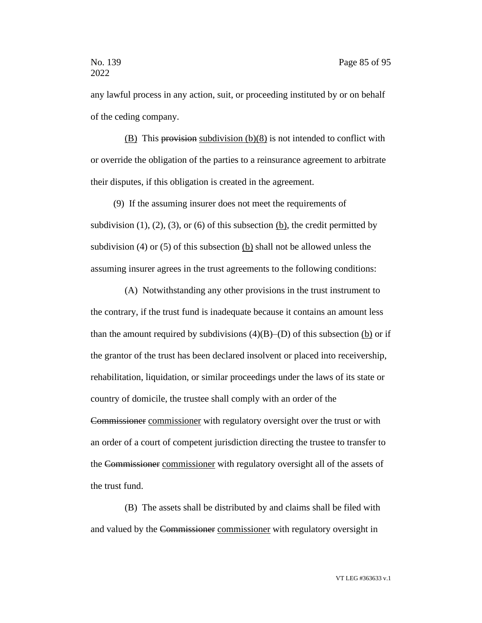any lawful process in any action, suit, or proceeding instituted by or on behalf of the ceding company.

 $(B)$  This provision subdivision  $(b)(8)$  is not intended to conflict with or override the obligation of the parties to a reinsurance agreement to arbitrate their disputes, if this obligation is created in the agreement.

(9) If the assuming insurer does not meet the requirements of subdivision  $(1)$ ,  $(2)$ ,  $(3)$ , or  $(6)$  of this subsection  $(b)$ , the credit permitted by subdivision (4) or (5) of this subsection (b) shall not be allowed unless the assuming insurer agrees in the trust agreements to the following conditions:

(A) Notwithstanding any other provisions in the trust instrument to the contrary, if the trust fund is inadequate because it contains an amount less than the amount required by subdivisions  $(4)(B)$ –(D) of this subsection (b) or if the grantor of the trust has been declared insolvent or placed into receivership, rehabilitation, liquidation, or similar proceedings under the laws of its state or country of domicile, the trustee shall comply with an order of the Commissioner commissioner with regulatory oversight over the trust or with an order of a court of competent jurisdiction directing the trustee to transfer to the Commissioner commissioner with regulatory oversight all of the assets of the trust fund.

(B) The assets shall be distributed by and claims shall be filed with and valued by the Commissioner commissioner with regulatory oversight in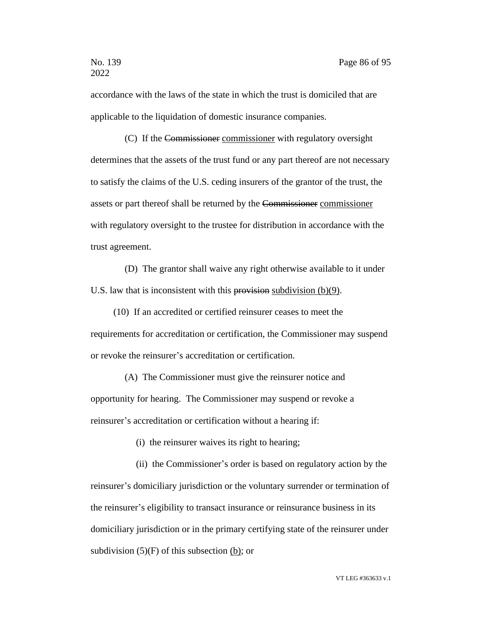accordance with the laws of the state in which the trust is domiciled that are applicable to the liquidation of domestic insurance companies.

(C) If the Commissioner commissioner with regulatory oversight determines that the assets of the trust fund or any part thereof are not necessary to satisfy the claims of the U.S. ceding insurers of the grantor of the trust, the assets or part thereof shall be returned by the Commissioner commissioner with regulatory oversight to the trustee for distribution in accordance with the trust agreement.

(D) The grantor shall waive any right otherwise available to it under U.S. law that is inconsistent with this provision subdivision  $(b)(9)$ .

(10) If an accredited or certified reinsurer ceases to meet the requirements for accreditation or certification, the Commissioner may suspend or revoke the reinsurer's accreditation or certification.

(A) The Commissioner must give the reinsurer notice and opportunity for hearing. The Commissioner may suspend or revoke a reinsurer's accreditation or certification without a hearing if:

(i) the reinsurer waives its right to hearing;

(ii) the Commissioner's order is based on regulatory action by the reinsurer's domiciliary jurisdiction or the voluntary surrender or termination of the reinsurer's eligibility to transact insurance or reinsurance business in its domiciliary jurisdiction or in the primary certifying state of the reinsurer under subdivision  $(5)(F)$  of this subsection  $(b)$ ; or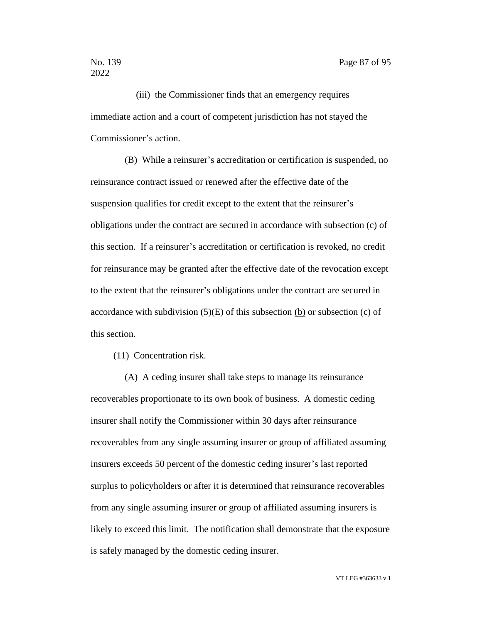(iii) the Commissioner finds that an emergency requires immediate action and a court of competent jurisdiction has not stayed the Commissioner's action.

(B) While a reinsurer's accreditation or certification is suspended, no reinsurance contract issued or renewed after the effective date of the suspension qualifies for credit except to the extent that the reinsurer's obligations under the contract are secured in accordance with subsection (c) of this section. If a reinsurer's accreditation or certification is revoked, no credit for reinsurance may be granted after the effective date of the revocation except to the extent that the reinsurer's obligations under the contract are secured in accordance with subdivision  $(5)(E)$  of this subsection (b) or subsection (c) of this section.

(11) Concentration risk.

(A) A ceding insurer shall take steps to manage its reinsurance recoverables proportionate to its own book of business. A domestic ceding insurer shall notify the Commissioner within 30 days after reinsurance recoverables from any single assuming insurer or group of affiliated assuming insurers exceeds 50 percent of the domestic ceding insurer's last reported surplus to policyholders or after it is determined that reinsurance recoverables from any single assuming insurer or group of affiliated assuming insurers is likely to exceed this limit. The notification shall demonstrate that the exposure is safely managed by the domestic ceding insurer.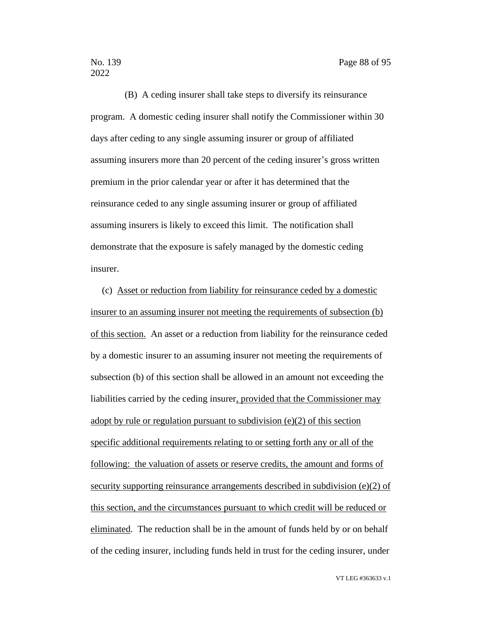(B) A ceding insurer shall take steps to diversify its reinsurance program. A domestic ceding insurer shall notify the Commissioner within 30 days after ceding to any single assuming insurer or group of affiliated assuming insurers more than 20 percent of the ceding insurer's gross written premium in the prior calendar year or after it has determined that the reinsurance ceded to any single assuming insurer or group of affiliated assuming insurers is likely to exceed this limit. The notification shall demonstrate that the exposure is safely managed by the domestic ceding insurer.

(c) Asset or reduction from liability for reinsurance ceded by a domestic insurer to an assuming insurer not meeting the requirements of subsection (b) of this section. An asset or a reduction from liability for the reinsurance ceded by a domestic insurer to an assuming insurer not meeting the requirements of subsection (b) of this section shall be allowed in an amount not exceeding the liabilities carried by the ceding insurer, provided that the Commissioner may adopt by rule or regulation pursuant to subdivision (e)(2) of this section specific additional requirements relating to or setting forth any or all of the following: the valuation of assets or reserve credits, the amount and forms of security supporting reinsurance arrangements described in subdivision (e)(2) of this section, and the circumstances pursuant to which credit will be reduced or eliminated. The reduction shall be in the amount of funds held by or on behalf of the ceding insurer, including funds held in trust for the ceding insurer, under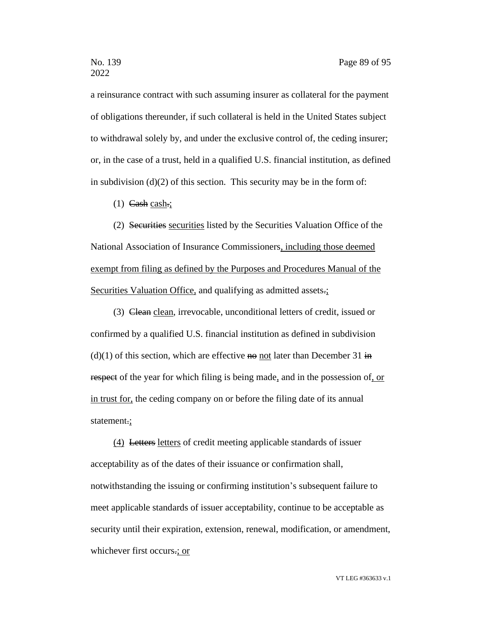a reinsurance contract with such assuming insurer as collateral for the payment of obligations thereunder, if such collateral is held in the United States subject to withdrawal solely by, and under the exclusive control of, the ceding insurer; or, in the case of a trust, held in a qualified U.S. financial institution, as defined in subdivision  $(d)(2)$  of this section. This security may be in the form of:

 $(1)$  Cash cash.;

(2) Securities securities listed by the Securities Valuation Office of the National Association of Insurance Commissioners, including those deemed exempt from filing as defined by the Purposes and Procedures Manual of the Securities Valuation Office, and qualifying as admitted assets.;

(3) Clean clean, irrevocable, unconditional letters of credit, issued or confirmed by a qualified U.S. financial institution as defined in subdivision  $(d)(1)$  of this section, which are effective no not later than December 31 in respect of the year for which filing is being made, and in the possession of, or in trust for, the ceding company on or before the filing date of its annual statement.;

(4) Letters letters of credit meeting applicable standards of issuer acceptability as of the dates of their issuance or confirmation shall, notwithstanding the issuing or confirming institution's subsequent failure to meet applicable standards of issuer acceptability, continue to be acceptable as security until their expiration, extension, renewal, modification, or amendment, whichever first occurs.; or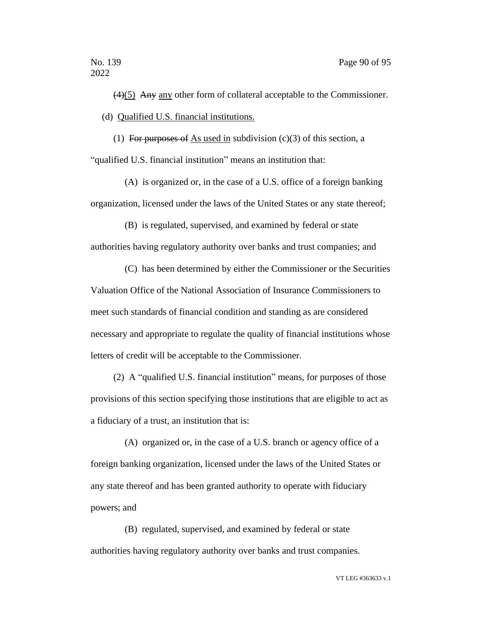(4)(5) Any any other form of collateral acceptable to the Commissioner. (d) Qualified U.S. financial institutions.

(1) For purposes of As used in subdivision  $(c)(3)$  of this section, a "qualified U.S. financial institution" means an institution that:

(A) is organized or, in the case of a U.S. office of a foreign banking organization, licensed under the laws of the United States or any state thereof;

(B) is regulated, supervised, and examined by federal or state authorities having regulatory authority over banks and trust companies; and

(C) has been determined by either the Commissioner or the Securities Valuation Office of the National Association of Insurance Commissioners to meet such standards of financial condition and standing as are considered necessary and appropriate to regulate the quality of financial institutions whose letters of credit will be acceptable to the Commissioner.

(2) A "qualified U.S. financial institution" means, for purposes of those provisions of this section specifying those institutions that are eligible to act as a fiduciary of a trust, an institution that is:

(A) organized or, in the case of a U.S. branch or agency office of a foreign banking organization, licensed under the laws of the United States or any state thereof and has been granted authority to operate with fiduciary powers; and

(B) regulated, supervised, and examined by federal or state authorities having regulatory authority over banks and trust companies.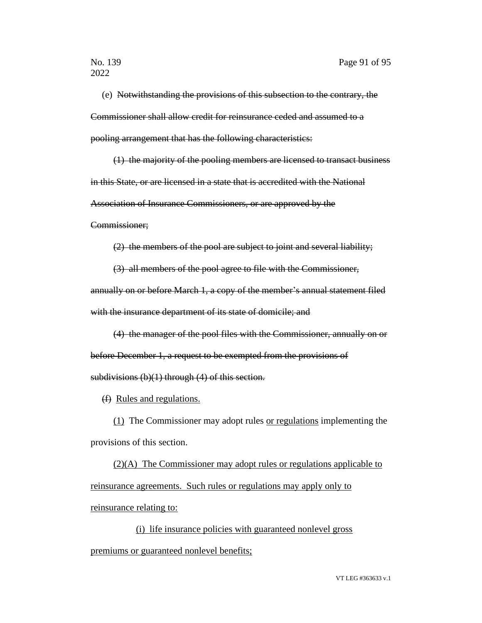(e) Notwithstanding the provisions of this subsection to the contrary, the Commissioner shall allow credit for reinsurance ceded and assumed to a pooling arrangement that has the following characteristics:

(1) the majority of the pooling members are licensed to transact business in this State, or are licensed in a state that is accredited with the National Association of Insurance Commissioners, or are approved by the

Commissioner;

(2) the members of the pool are subject to joint and several liability;

(3) all members of the pool agree to file with the Commissioner, annually on or before March 1, a copy of the member's annual statement filed

with the insurance department of its state of domicile; and

(4) the manager of the pool files with the Commissioner, annually on or before December 1, a request to be exempted from the provisions of subdivisions  $(b)(1)$  through  $(4)$  of this section.

(f) Rules and regulations.

(1) The Commissioner may adopt rules or regulations implementing the provisions of this section.

(2)(A) The Commissioner may adopt rules or regulations applicable to reinsurance agreements. Such rules or regulations may apply only to reinsurance relating to:

(i) life insurance policies with guaranteed nonlevel gross premiums or guaranteed nonlevel benefits;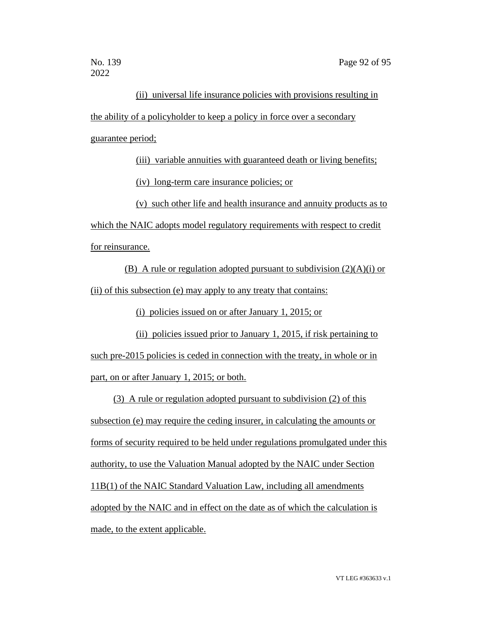## (ii) universal life insurance policies with provisions resulting in the ability of a policyholder to keep a policy in force over a secondary guarantee period;

(iii) variable annuities with guaranteed death or living benefits; (iv) long-term care insurance policies; or

(v) such other life and health insurance and annuity products as to

which the NAIC adopts model regulatory requirements with respect to credit for reinsurance.

(B) A rule or regulation adopted pursuant to subdivision  $(2)(A)(i)$  or (ii) of this subsection (e) may apply to any treaty that contains:

(i) policies issued on or after January 1, 2015; or

(ii) policies issued prior to January 1, 2015, if risk pertaining to such pre-2015 policies is ceded in connection with the treaty, in whole or in part, on or after January 1, 2015; or both.

(3) A rule or regulation adopted pursuant to subdivision (2) of this subsection (e) may require the ceding insurer, in calculating the amounts or forms of security required to be held under regulations promulgated under this authority, to use the Valuation Manual adopted by the NAIC under Section 11B(1) of the NAIC Standard Valuation Law, including all amendments adopted by the NAIC and in effect on the date as of which the calculation is made, to the extent applicable.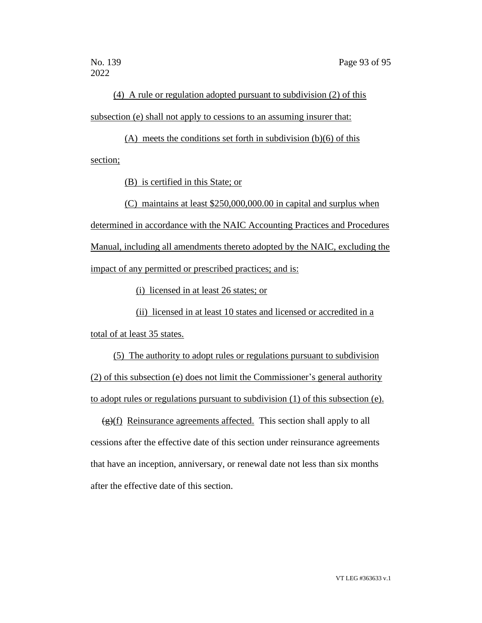(4) A rule or regulation adopted pursuant to subdivision (2) of this subsection (e) shall not apply to cessions to an assuming insurer that:

(A) meets the conditions set forth in subdivision (b)(6) of this section;

(B) is certified in this State; or

(C) maintains at least \$250,000,000.00 in capital and surplus when

determined in accordance with the NAIC Accounting Practices and Procedures Manual, including all amendments thereto adopted by the NAIC, excluding the impact of any permitted or prescribed practices; and is:

(i) licensed in at least 26 states; or

(ii) licensed in at least 10 states and licensed or accredited in a total of at least 35 states.

(5) The authority to adopt rules or regulations pursuant to subdivision (2) of this subsection (e) does not limit the Commissioner's general authority to adopt rules or regulations pursuant to subdivision (1) of this subsection (e).

 $\left(\frac{g}{f}\right)$  Reinsurance agreements affected. This section shall apply to all cessions after the effective date of this section under reinsurance agreements that have an inception, anniversary, or renewal date not less than six months after the effective date of this section.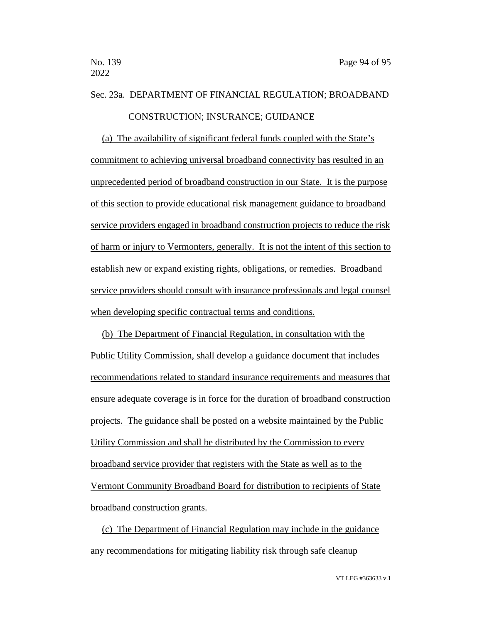## Sec. 23a. DEPARTMENT OF FINANCIAL REGULATION; BROADBAND CONSTRUCTION; INSURANCE; GUIDANCE

(a) The availability of significant federal funds coupled with the State's commitment to achieving universal broadband connectivity has resulted in an unprecedented period of broadband construction in our State. It is the purpose of this section to provide educational risk management guidance to broadband service providers engaged in broadband construction projects to reduce the risk of harm or injury to Vermonters, generally. It is not the intent of this section to establish new or expand existing rights, obligations, or remedies. Broadband service providers should consult with insurance professionals and legal counsel when developing specific contractual terms and conditions.

(b) The Department of Financial Regulation, in consultation with the Public Utility Commission, shall develop a guidance document that includes recommendations related to standard insurance requirements and measures that ensure adequate coverage is in force for the duration of broadband construction projects. The guidance shall be posted on a website maintained by the Public Utility Commission and shall be distributed by the Commission to every broadband service provider that registers with the State as well as to the Vermont Community Broadband Board for distribution to recipients of State broadband construction grants.

(c) The Department of Financial Regulation may include in the guidance any recommendations for mitigating liability risk through safe cleanup